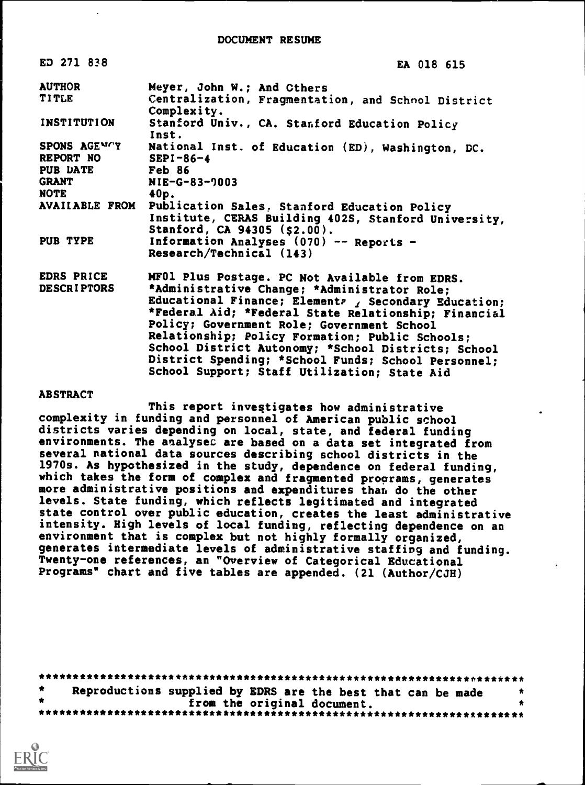| ED 271 838                       | EA 018 615                                                                                                                                                                                                                                                            |
|----------------------------------|-----------------------------------------------------------------------------------------------------------------------------------------------------------------------------------------------------------------------------------------------------------------------|
| <b>AUTHOR</b>                    | Meyer, John W.; And Cthers                                                                                                                                                                                                                                            |
| TITLE                            | Centralization, Fragmentation, and School District<br>Complexity.                                                                                                                                                                                                     |
| INSTITUTION                      | Stanford Univ., CA. Stanford Education Policy<br>Inst.                                                                                                                                                                                                                |
| SPONS AGENTY<br><b>REPORT NO</b> | National Inst. of Education (ED), Washington, DC.<br>$SEPI-86-4$                                                                                                                                                                                                      |
| <b>PUB DATE</b>                  | <b>Feb 86</b>                                                                                                                                                                                                                                                         |
| <b>GRANT</b>                     | NIE-G-83-7003                                                                                                                                                                                                                                                         |
| NOTE                             | 40p.                                                                                                                                                                                                                                                                  |
|                                  | AVAIIABLE FROM Publication Sales, Stanford Education Policy<br>Institute, CERAS Building 402S, Stanford University<br>Stanford, CA 94305 (\$2.00).                                                                                                                    |
| <b>PUB TYPE</b>                  | Information Analyses (070) -- Reports -<br>Research/Technical (143)                                                                                                                                                                                                   |
| <b>EDRS PRICE</b>                | MF01 Plus Postage. PC Not Available from EDRS.                                                                                                                                                                                                                        |
| <b>DESCRIPTORS</b>               | *Administrative Change; *Administrator Role;<br>Educational Finance; Elements $\Lambda$ Secondary Education;<br>*Federal Aid; *Federal State Relationship; Financial<br>Policy; Government Role; Government School<br>Relationship; Policy Formation; Public Schools; |

**ABSTRACT** 

This report investigates how administrative complexity in funding and personnel of American public school districts varies depending on local, state, and federal funding environments. The analyses are based on a data set integrated from several national data sources describing school districts in the 1970s. As hypothesized in the study, dependence on federal funding, which takes the form of complex and fragmented programs, generates more administrative positions and expenditures than do the other levels. State funding, which reflects legitimated and integrated state control over public education, creates the least administrative intensity. High levels of local funding, reflecting dependence on an environment that is complex but not highly formally organized, generates intermediate levels of administrative staffing and funding. Twenty-one references, an "Overview of Categorical Educational Programs" chart and five tables are appended. (21 (Author/CJH)

School District Autonomy; \*School Districts; School District Spending; \*School Funds; School Personnel;

School Support; Staff Utilization; State Aid

| Reproductions supplied by EDRS are the best that can be made |                             |  |  |
|--------------------------------------------------------------|-----------------------------|--|--|
|                                                              | from the original document. |  |  |
|                                                              |                             |  |  |

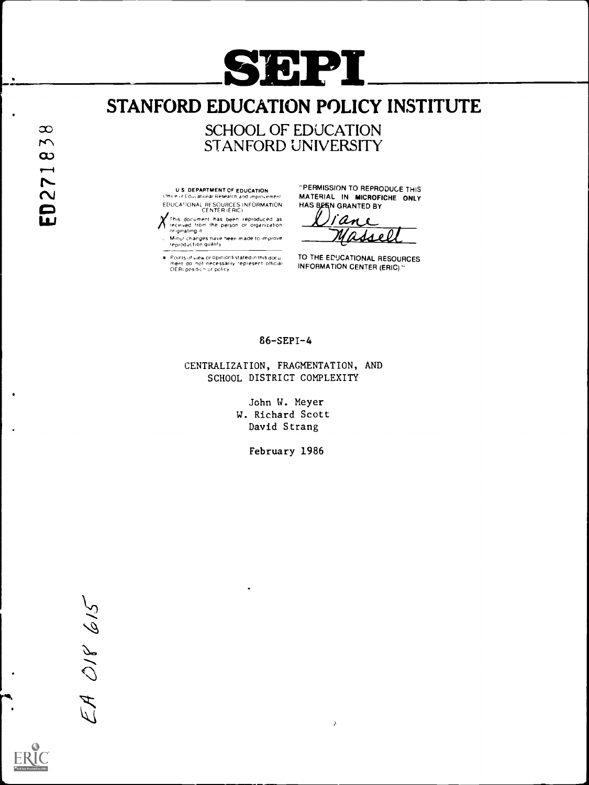

# STANFORD EDUCATION POLICY INSTITUTE

SCHOOL OF EDUCATION STANFORD UNIVERSITY

U S. DEPAPTMENT OF EDUCATION OF EXECUTION OF EXECUTION OF EXECUTION OF A LIBERTY OF ED, OF ED, TO ATHOR OF ED, EDUCAtIONAL RESOURCES INFORMATION CENTER (ERIC)

XThis document has been reproduced as received from the person or organization originating t

, : Minur changes have been made to improve \_\_\_\_\_\_\_\_<br>- reproduction quality

Points or view or Opinions stated in this docu rent do not necessary tePresent official OE RI posMcn or policy

"PERMISSION TO REPRODUCE THIS MATERIAL IN MICROFICHE ONLY HAS BEEN GRANTED BY

jane

TO THE EDUCATIONAL RESOURCES INFORMATION CENTER (ERIC) "

## 86-SEPI-4

CENTRALIZATION, FRAGMENTATION, AND SCHOOL DISTRICT COMPLEXITY

> John W. Meyer W. Richard Scott David Strang

> > February 1986

 $\lambda$ 

EA OSP 615

Ŷ.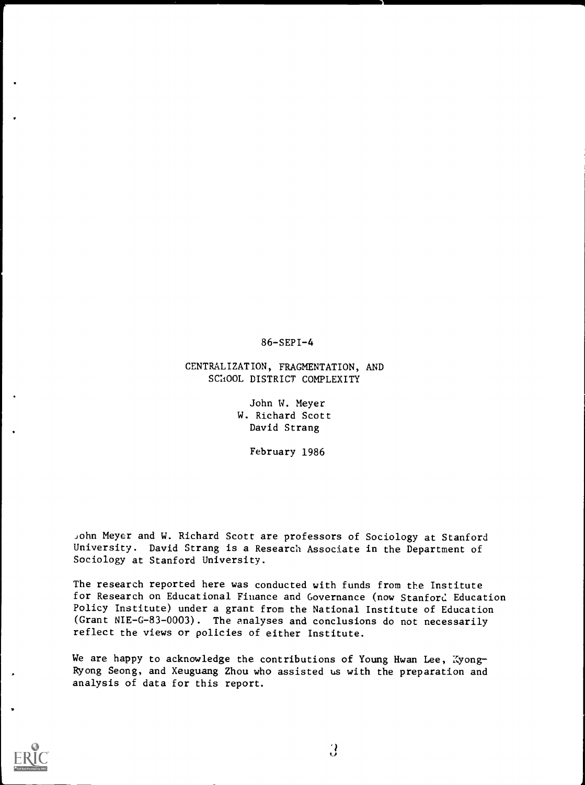$86 - SEPI - 4$ 

## CENTRALIZATION, FRAGMENTATION, AND SCHOOL DISTRICT COMPLEXITY

John W. Meyer W. Richard Scott David Strang

February 1986

John Meyer and W. Richard Scott are professors of Sociology at Stanford University. David Strang is a Research Associate in the Department of Sociology at Stanford University.

The research reported here was conducted with funds from the Institute for Research on Educational Finance and Governance (now Stanton: Education Policy Institute) under a grant from the National Institute of Education (Grant NIE-G-83-0003). The analyses and conclusions do not necessarily reflect the views or policies of either Institute.

We are happy to acknowledge the contributions of Young Hwan Lee, Kyong-Ryong Seong, and Xeuguang Zhou who assisted us with the preparation and analysis of data for this report.



 $\dddot{.}$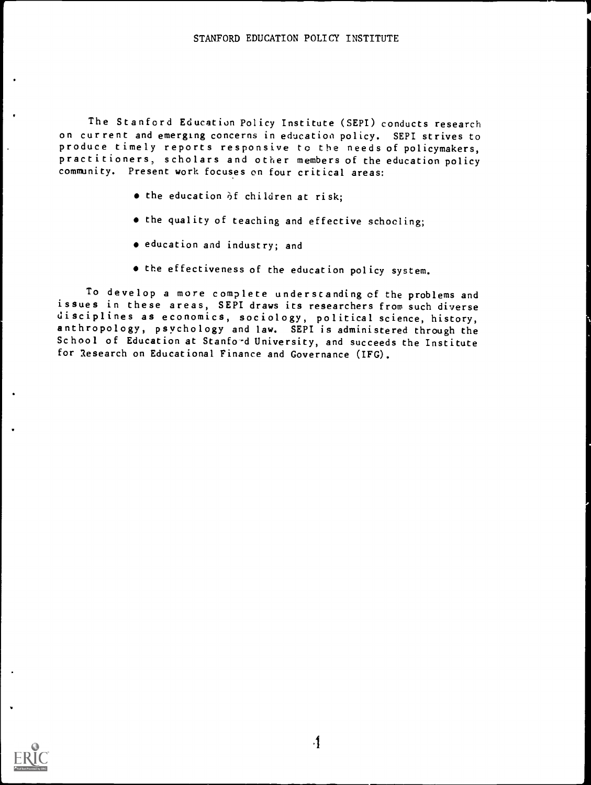#### STANFORD EDUCATION POLICY INSTITUTE

The Stanford Education Policy Institute (SEPI) conducts research on current and emerging concerns in education policy. SEPI strives to produce timely reports responsive to the needs of policymakers, practitioners, scholars and other members of the education policy community. Present work focuses on four critical areas:

- $\bullet$  the education of children at risk;
- the quality of teaching and effective schooling;
- education and industry; and
- the effectiveness of the education policy system.

To develop a more complete understanding of the problems and issues in these areas, SEPI draws its researchers from such diverse disciplines as economics, sociology, political science, history, anthropology, psychology and law. SEPI is administered through the School of Education at Stanfo-d University, and succeeds the Institute for 3esearch on Educational Finance and Governance (IFG).

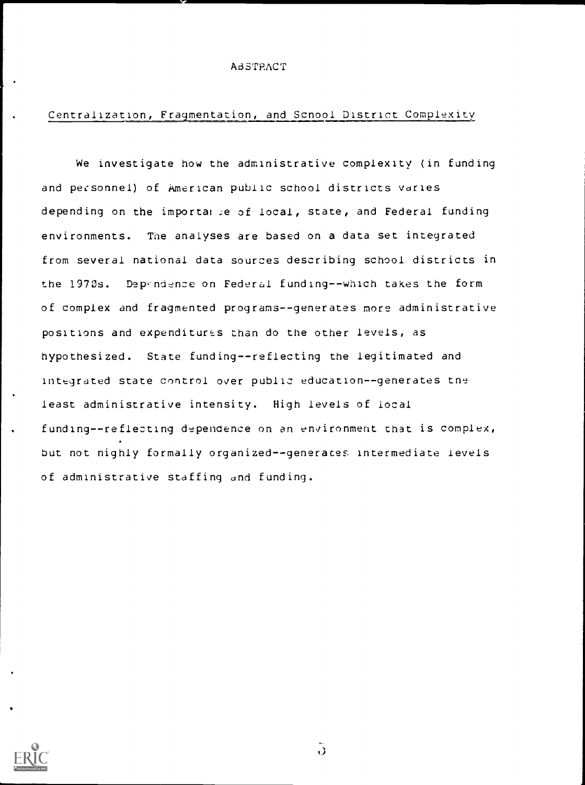### **ABSTRACT**

# Centralization, Fragmentation, and Scnool District Complexity

We investigate how the administrative complexity (in funding and personnel) of American public school districts varies depending on the importative of local, state, and Federal funding environments. The analyses are based on a data set integrated from several national data sources describing school districts in the 1970s. Dependence on Federal funding--which takes the form of complex and fragmented programs--generates more administrative positions and expenditures than do the other levels, as hypothesized. State funding--reflecting the legitimated and integrated state control over public education--generates tne least administrative intensity. High levels of local funding--reflecting dependence on an environment that is complex, but not nighly formally organized--generates intermediate levels of administrative staffing and funding.



 $\ddot{\eth}$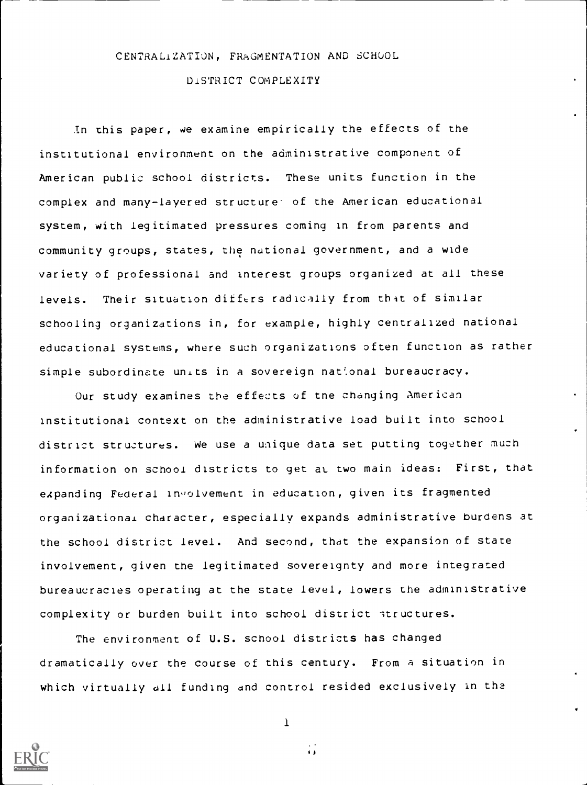#### CENTRALIZATION, FRAGMENTATION AND SCHOOL

DiSTRICT COMPLEXITY

In this paper, we examine empirically the effects of the institutional environment on the administrative component of American public school districts. These units function in the complex and many-layered structure- of the American educational system, with legitimated pressures coming in from parents and community groups, states, the national government, and a wide variety of professional and interest groups organized at all these levels. Their situation differs radically from that of similar schooling organizations in, for example, highly centralized national educational systems, where such organizations often function as rather simple subordinate units in a sovereign national bureaucracy.

Our study examines the effects of tne changing American institutional context on the administrative load built into school district structures. We use a unique data set putting together much information on school districts to get at two main ideas: First, that expanding Federal involvement in education, given its fragmented organizational character, especially expands administrative burdens at the school district level. And second, that the expansion of state involvement, given the legitimated sovereignty and more integrated bureaucracies operating at the state level, lowers the administrative complexity or burden built into school district itructures.

The environment of U.S. school districts has changed dramatically over the course of this century. From a situation in which virtually all funding and control resided exclusively in the



1

Ä,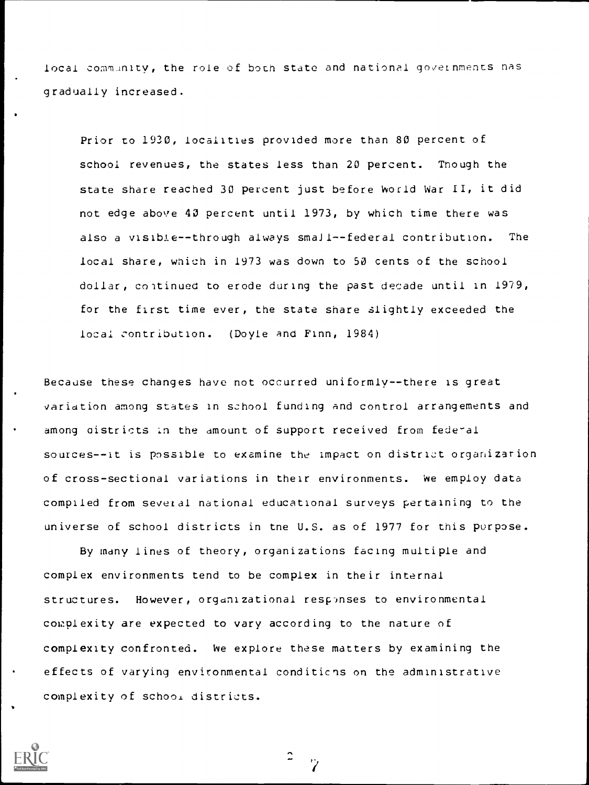local community, the role of both state and national governments has gradually increased.

Prior to 1930, localities provided more than 80 percent of school revenues, the states less than 20 percent. Though the state share reached 30 percent just before World War II, it did not edge above 40 percent until 1973, by which time there was also a visible--through always small--federal contribution. The local share, which in 1973 was down to 50 cents of the school dollar, continued to erode during the past decade until in 1979, for the first time ever, the state share slightly exceeded the local contribution. (Doyle and Finn, 1984)

Because these changes have not occurred uniformly--there is great variation among states in school funding and control arrangements and among districts In the amount of support received from federal sources--it is possible to examine the impact on district organizarion of cross-sectional variations in their environments. We employ data compiled from several national educational surveys pertaining to the universe of school districts in tne U.S. as of 1977 for this purpose.

By many lines of theory, organizations facing multiple and complex environments tend to be complex in their internal structures. However, organizational responses to environmental complexity are expected to vary according to the nature of complexity confronted. We explore these matters by examining the effects of varying environmental conditions on the administrative complexity of school districts.

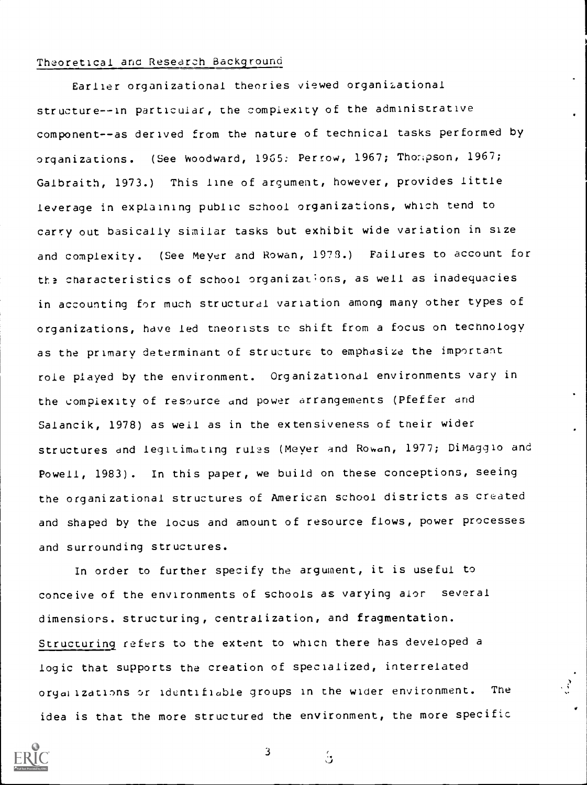## Theoretical and Research Background

Earlier organizational theories viewed organizational structure--in particular, the complexity of the administrative component--as derived from the nature of technical tasks performed by organizations. (See Woodward, 1965: Perrow, 1967; Thompson, 1967; Galbraith, 1973.) This line of argument, however, provides little leverage in explaining public school organizations, which tend to carry out basically similar tasks but exhibit wide variation in size and complexity. (See Meyer and Rowan, 1973.) Failures to account for the characteristics of school organizations, as well as inadequacies in accounting for much structural variation among many other types of organizations, have led tneorists to shift from a focus on technology as the primary determinant of structure to emphasize the important role played by the environment. Organizational environments vary in the complexity of resource and power arrangements (Pfeffer and Salancik, 1978) as well as in the extensiveness of their wider structures and legitimating rules (Meyer and Rowan, 1977; DiMaggio and Powell, 1983). In this paper, we build on these conceptions, seeing the organizational structures of American school districts as created and shaped by the locus and amount of resource flows, power processes and surrounding structures.

In order to further specify the argument, it is useful to conceive of the environments of schools as varying alor several dimensiors. structuring, centralization, and fragmentation. Structuring refers to the extent to which there has developed a logic that supports the creation of specialized, interrelated orgalizations or identifiable groups in the wider environment. The idea is that the more structured the environment, the more specific



3

 $\mathbf{G}$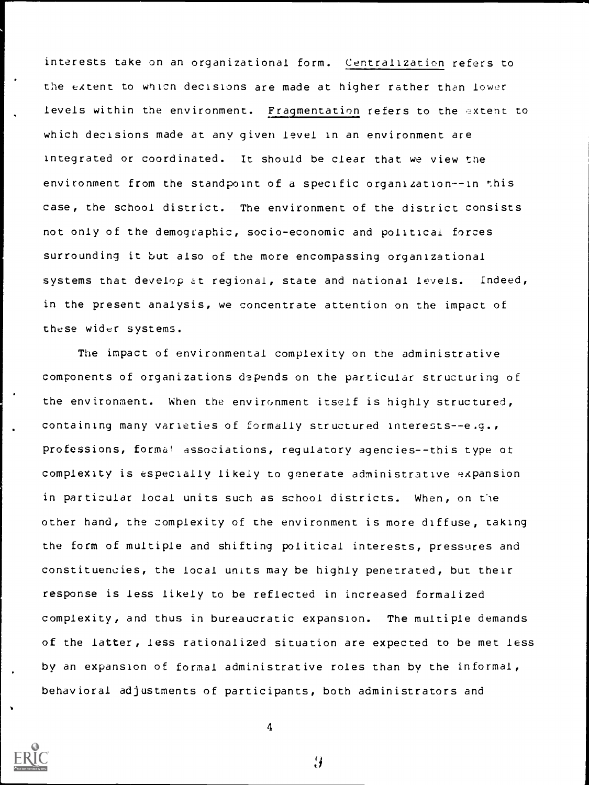interests take on an organizational form. Centralization refers to the extent to which decisions are made at higher rather than lower levels within the environment. Fragmentation refers to the extent to which decisions made at any given level in an environment are integrated or coordinated. It should be clear that we view the environment from the standpoint of a specific organization--in this case, the school district. The environment of the district consists not only of the demographic, socio-economic and political forces surrounding it but also of the more encompassing organizational systems that develop at regional, state and national levels. Indeed, in the present analysis, we concentrate attention on the impact of these wider systems.

The impact of environmental complexity on the administrative components of organizations depends on the particular structuring of the environment. When the environment itself is highly structured, containing many varieties of formally structured interests--e.g., professions, forma! associations, regulatory agencies--this type of complexity is especially likely to generate administrative expansion in particular local units such as school districts. When, on tie other hand, the complexity of the environment is more diffuse, taking the form of multiple and shifting political interests, pressures and constituencies, the local units may be highly penetrated, but their response is less likely to be reflected in increased formalized complexity, and thus in bureaucratic expansion. The multiple demands of the latter, less rationalized situation are expected to be met less by an expansion of formal administrative roles than by the informal, behavioral adjustments of participants, both administrators and



4

 $\boldsymbol{\beta}$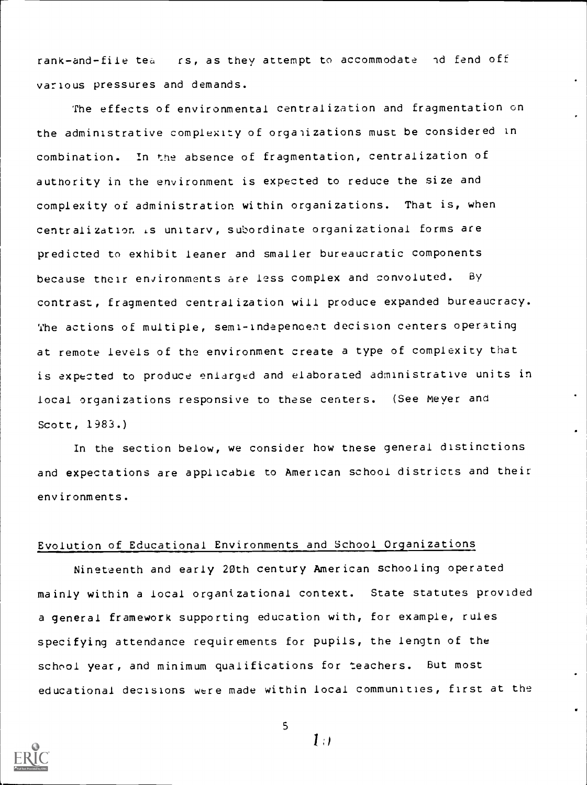rank-and-file tea rs, as they attempt to accommodate ind fend off various pressures and demands.

The effects of environmental centralization and fragmentation on the administrative complexity of organizations must be considered in combination. In the absence of fragmentation, centralization of authority in the environment is expected to reduce the size and complexity of administration within organizations. That is, when centralization is unitary, subordinate organizational forms are predicted to exhibit leaner and smaller bureaucratic components because their environments are less complex and convoluted. By contrast, fragmented centralization will produce expanded bureaucracy. The actions of multiple, semi-independent decision centers operating at remote levels of the environment create a type of complexity that is expected to produce enlarged and elaborated administrative units in local organizations responsive to these centers. (See Meyer and Scott, 1983.)

In the section below, we consider how these general distinctions and expectations are applicable to American school districts and their environments.

## Evolution of Educational Environments and School Organizations

Nineteenth and early 20th century American schooling operated mainly within a local organizational context. State statutes provided a general framework supporting education with, for example, rules specifying attendance requirements for pupils, the lengtn of the school year, and minimum qualifications for teachers. But most educational decisions were made within local communities, first at the



5

 $L_{i}$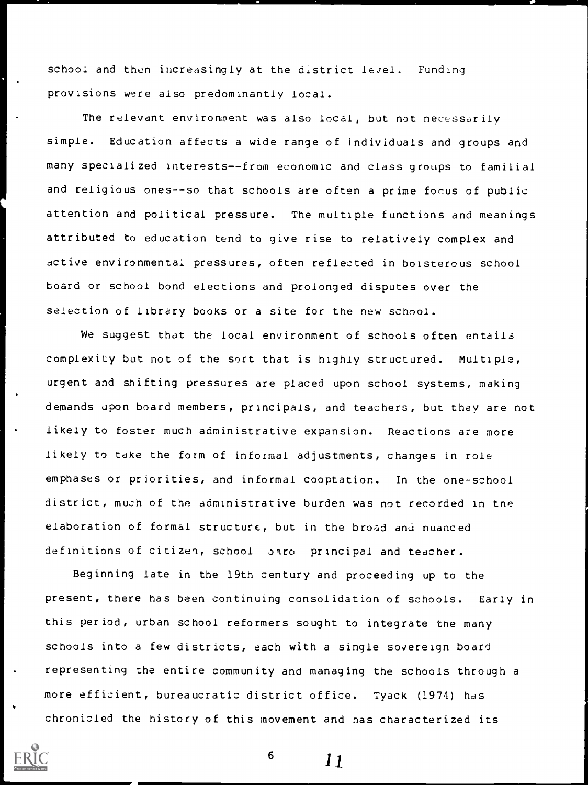school and then increasingly at the district level. Funding provisions were also predominantly local.

The relevant environment was also local, but not necessarily simple. Education affects a wide range of individuals and groups and many specialized interests--from economic and class groups to familial and religious ones--so that schools are often a prime focus of public attention and political pressure. The multiple functions and meanings attributed to education tend to give rise to relatively complex and active environmental pressures, often reflected in boisterous school board or school bond elections and prolonged disputes over the selection of library books or a site for the new school.

We suggest that the local environment of schools often entails complexity but not of the sort that is highly structured. Multiple, urgent and shifting pressures are placed upon school systems, making demands upon board members, principals, and teachers, but they are not likely to foster much administrative expansion. Reactions are more likely to take the form of informal adjustments, changes in role emphases or priorities, and informal cooptation. In the one-school district, much of the administrative burden was not recorded in tne elaboration of formal structure, but in the broad and nuanced definitions of citizen, school oaro principal and teacher.

Beginning late in the 19th century and proceeding up to the present, there has been continuing consolidation of schools. Early in this period, urban school reformers sought to integrate the many schools into a few districts, each with a single sovereign board representing the entire community and managing the schools through a more efficient, bureaucratic district office. Tyack (1974) has chronicled the history of this movement and has characterized its



 $6 \t11$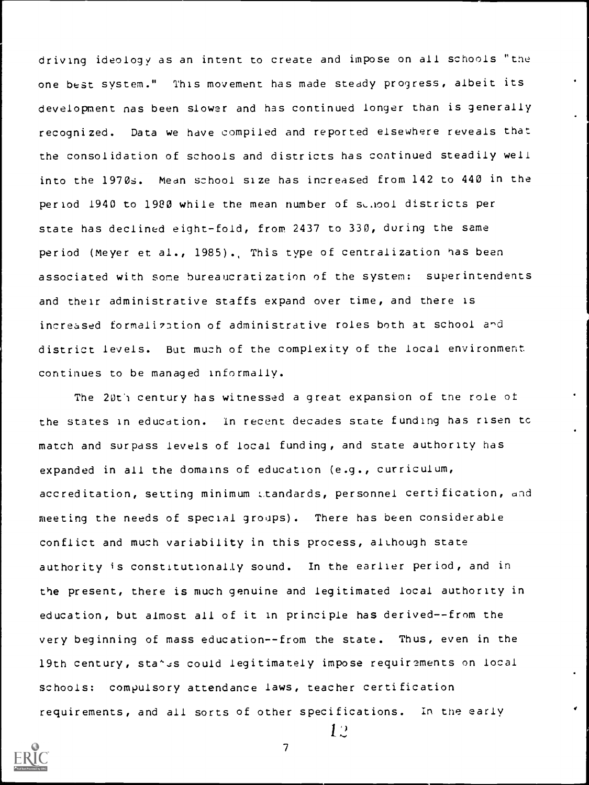driving ideology as an intent to create and impose on all schools "tne one best system." This movement has made steady progress, albeit its development nas been slower and has continued longer than is generally recognized. Data we have compiled and reported elsewhere reveals that the consolidation of schools and districts has continued steadily well into the 1970s. Mean school size has increased from 142 to 440 in the period 1940 to 1980 while the mean number of sunsoi districts per state has declined eight-fold, from 2437 to 330, during the same period (Meyer et al., 1985). This type of centralization has been associated with some bureaucratization of the system: superintendents and their administrative staffs expand over time, and there is increased formalization of administrative roles both at school and district levels. But much of the complexity of the local environment continues to be managed informally.

The 20t'i century has witnessed a great expansion of tne role of the states in education. In recent decades state funding has risen tc match and surpass levels of local funding, and state authority has expanded in all the domains of education (e.g., curriculum, accreditation, setting minimum Ltandards, personnel certification, and meeting the needs of special groups). There has been considerable conflict and much variability in this process, although state authority is constitutionally sound. In the earlier period, and in the present, there is much genuine and legitimated local authority in education, but almost all of it in principle has derived--from the very beginning of mass education--from the state. Thus, even in the 19th century, stands could legitimately impose requirements on local schools: compulsory attendance laws, teacher certification requirements, and all sorts of other specifications. In the early



7

 $1.2\,$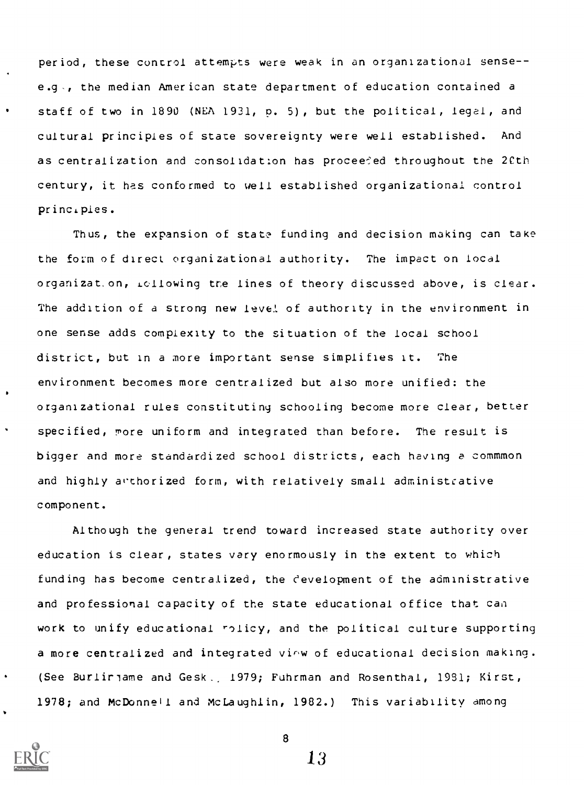period, these control attempts were weak in an organizational sensee.g., the median American state department of education contained a staff of two in 1890 (NEA 1931, p. 5), but the political, legal, and cultural principles of state sovereignty were well established. And as centralization and consolidation has proceeded throughout the 20th century, it has conformed to well established organizational control principles.

Thus, the expansion of state funding and decision making can take the form of direct organizational authority. The impact on local organizat.on, Lollowing tre lines of theory discussed above, is clear. The addition of a strong new level of authority in the environment in one sense adds complexity to the situation of the local school district, but in a more important sense simplifies it. The environment becomes more centralized but also more unified: the organizational rules constituting schooling become more clear, better specified, more uniform and integrated than before. The result is bigger and more standardized school districts, each having a commmon and highly authorized form, with relatively small administrative component.

Although the general trend toward increased state authority over education is clear, states vary enormously in the extent to which funding has become centralized, the development of the administrative and professional capacity of the state educational office that can work to unify educational rolicy, and the political culture supporting a more centralized and integrated view of educational decision making. (See Burliriame and Gesk., 1979; Fuhrman and Rosenthal, 1931; Kirst, 1978; and McDonnell and McLaughlin, 1982.) This variability among



8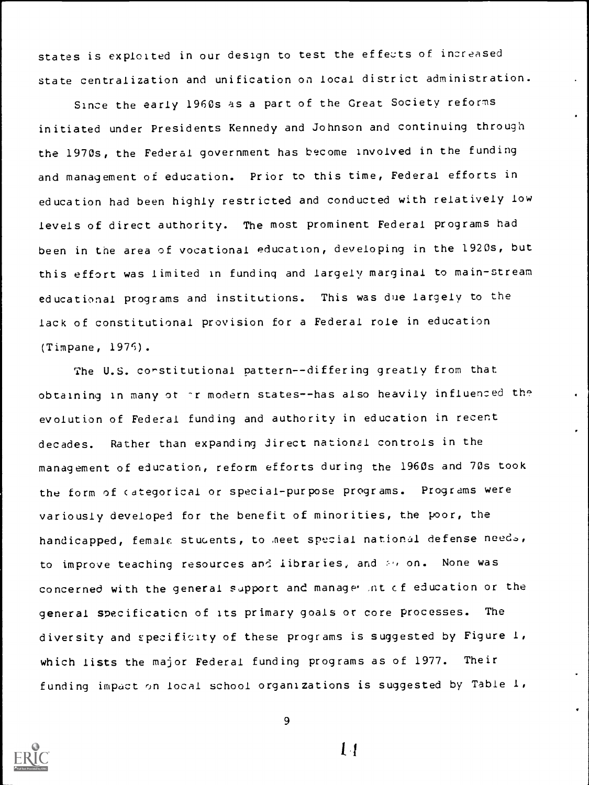states is exploited in our design to test the effects of increased state centralization and unification on local district administration.

Since the early 1960s as a part of the Great Society reforms initiated under Presidents Kennedy and Johnson and continuing through the 1970s, the Federal government has become involved in the funding and management of education. Prior to this time, Federal efforts in education had been highly restricted and conducted with relatively low levels of direct authority. The most prominent Federal programs had been in the area of vocational education, developing in the 1920s, but this effort was limited in funding and largely marginal to main-stream educational programs and institutions. This was due largely to the lack of constitutional provision for a Federal role in education (Timpane, 1975).

The U.S. constitutional pattern--differing greatly from that obtaining in many of -r modern states--has also heavily influenced the evolution of Federal funding and authority in education in recent decades. Rather than expanding direct national controls in the management of education, reform efforts during the 1960s and 70s took the form of categorical or special-purpose programs. Programs were variously developed for the benefit of minorities, the poor, the handicapped, female students, to meet special national defense needs, to improve teaching resources and libraries, and so on. None was concerned with the general support and manage int of education or the general specification of its primary goals or core processes. The diversity and specificity of these programs is suggested by Figure 1, which lists the major Federal funding programs as of 1977. Their funding impact on local school organizations is suggested by Table 1,



9

 $11$ 

 $\bullet$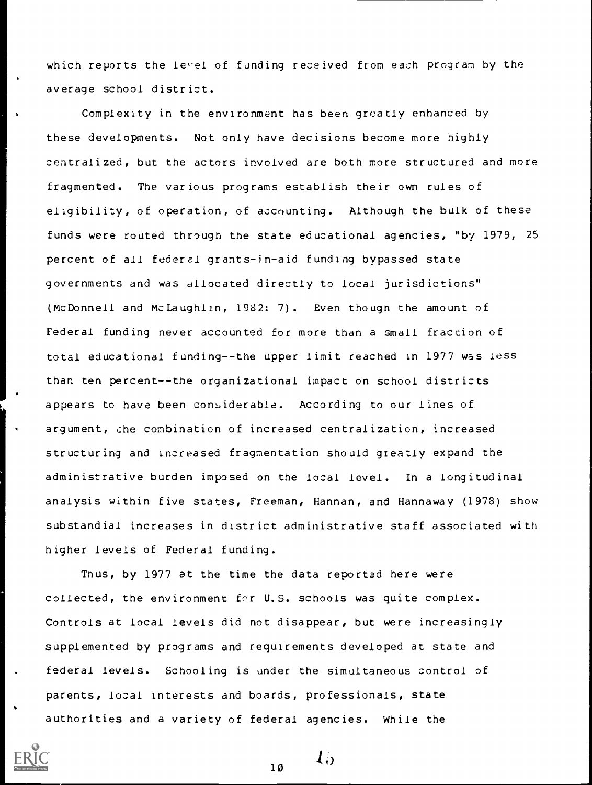which reports the level of funding received from each program by the average school district.

Complexity in the environment has been greatly enhanced by these developments. Not only have decisions become more highly centralized, but the actors involved are both more structured and more fragmented. The various programs establish their own rules of eligibility, of operation, of accounting. Although the bulk of these funds were routed through the state educational agencies, "by 1979, 25 percent of all federal grants-in-aid funding bypassed state governments and was allocated directly to local jurisdictions" (McDonnell and McLaughlin, 1982: 7). Even though the amount of Federal funding never accounted for more than a small fraction of total educational funding--the upper limit reached in 1977 was less than ten percent--the organizational impact on school districts appears to have been considerable. According to our lines of argument, the combination of increased centralization, increased structuring and increased fragmentation should greatly expand the administrative burden imposed on the local level. In a longitudinal analysis within five states, Freeman, Hannan, and Hannaway (1978) show substandial increases in district administrative staff associated with higher levels of Federal funding.

Tnus, by 1977 at the time the data reported here were collected, the environment for U.S. schools was quite complex. Controls at local levels did not disappear, but were increasingly supplemented by programs and requirements developed at state and federal levels. Schooling is under the simultaneous control of parents, local interests and boards, professionals, state authorities and a variety of federal agencies. While the



10

 $\Gamma_0$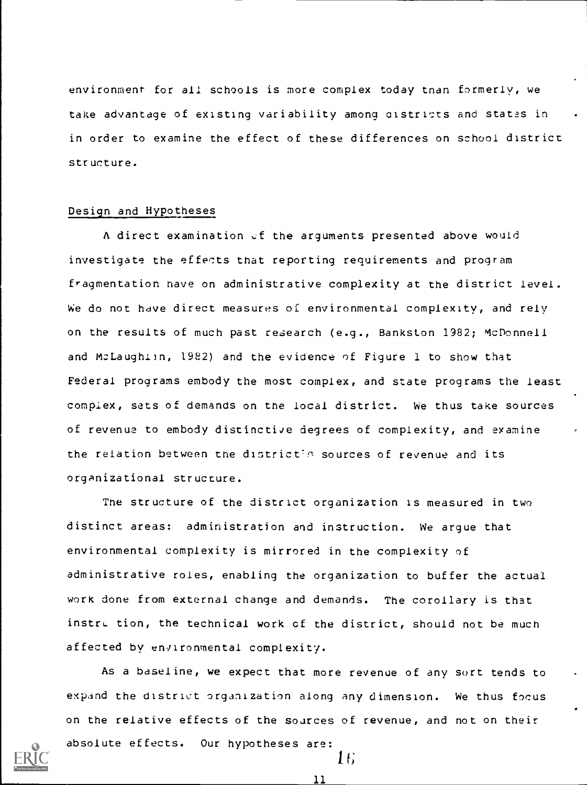environment for all schools is more complex today tnan formerly, we take advantage of existing variability among aistricts and states in in order to examine the effect of these differences on school district structure.

## Design and Hypotheses

A direct examination cf the arguments presented above would investigate the effects that reporting requirements and program fragmentation have on administrative complexity at the district level. We do not have direct measures of environmental complexity, and rely on the results of much past research (e.g., Bankston 1982; McDonnell and McLaughlin, 1982) and the evidence of Figure 1 to show that Federal programs embody the most complex, and state programs the least complex, sets of demands on the local district. We thus take sources of revenue to embody distinctive degrees of complexity, and examine the relation between the district  $\kappa$  sources of revenue and its organizational structure.

The structure of the district organization is measured in two distinct areas: administration and instruction. We argue that environmental complexity is mirrored in the complexity of administrative roles, enabling the organization to buffer the actual work done from external change and demands. The corollary is that instru tion, the technical work of the district, should not be much affected by environmental complexity.

As a baseline, we expect that more revenue of any sort tends to expand the district organization along any dimension. We thus focus on the relative effects of the sources of revenue, and not on their absolute effects. Our hypotheses are:



11

It)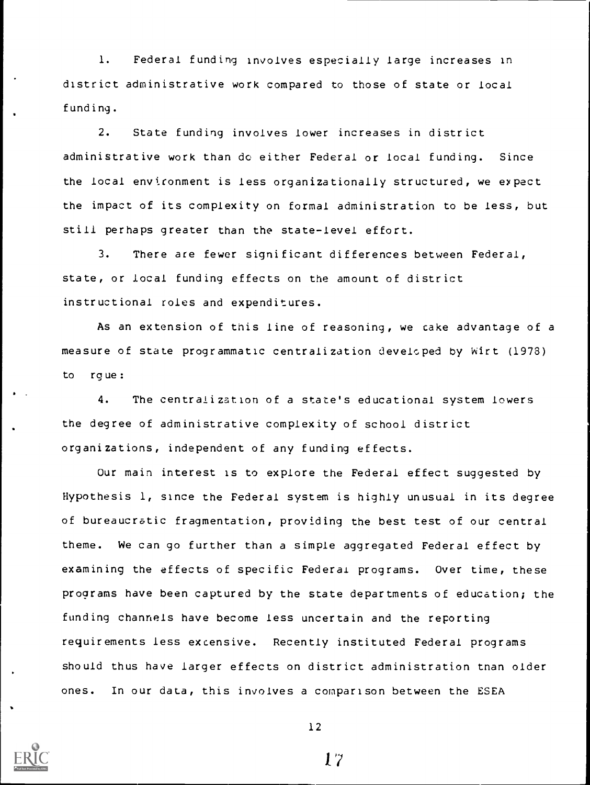1. Federal funding involves especially large increases in district administrative work compared to those of state or local funding.

2. State funding involves lower increases in district administrative work than do either Federal or local funding. Since the local environment is less organizationally structured, we expect the impact of its complexity on formal administration to be less, but still perhaps greater than the state-level effort.

3. There are fewer significant differences between Federal, state, or local funding effects on the amount of district instructional roles and expenditures.

As an extension of this line of reasoning, we cake advantage of a measure of state programmatic centralization developed by Wirt (1978) to rgue:

4. The centralization of a state's educational system lowers the degree of administrative complexity of school district organizations, independent of any funding effects.

Our main interest is to explore the Federal effect suggested by Hypothesis 1, since the Federal system is highly unusual in its degree of bureaucratic fragmentation, providing the best test of our central theme. We can go further than a simple aggregated Federal effect by examining the effects of specific Federal programs. Over time, these programs have been captured by the state departments of education; the funding channels have become less uncertain and the reporting requirements less extensive. Recently instituted Federal programs should thus have larger effects on district administration tnan older ones. In our data, this involves a comparison between the ESEA



12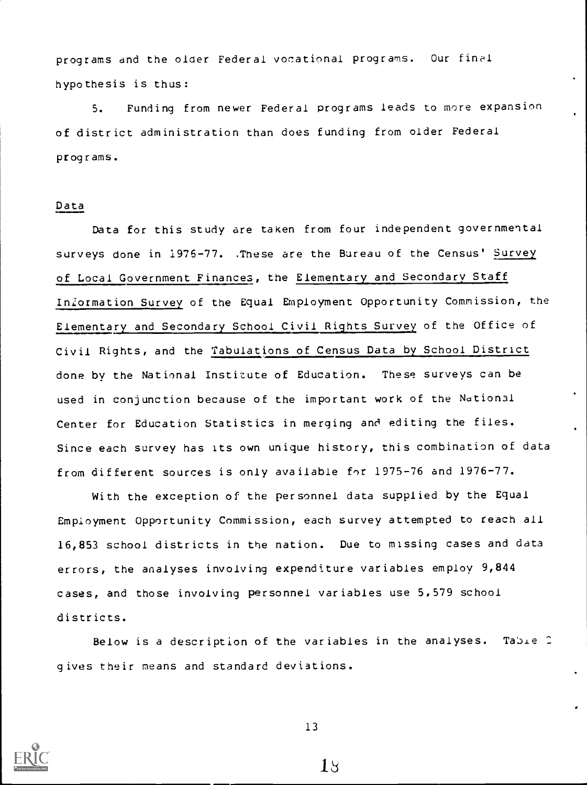programs and the older Federal vocational programs. Our final hypothesis is thus:

5. Funding from newer Federal programs leads to more expansion of district administration than does funding from older Federal programs.

## Data

Data for this study are taken from four independent governmental surveys done in 1976-77. .These are the Bureau of the Census' Survey of Local Government Finances, the Elementary and Secondary Staff Information Survey of the Equal Employment Opportunity Commission, the Elementary and Secondary School Civil Rights Survey of the Office of Civil Rights, and the Tabulations of Census Data by School District done by the National Institute of Education. These surveys can be used in conjunction because of the important work of the National Center for Education Statistics in merging and editing the files. Since each survey has its own unique history, this combination of data from different sources is only available for 1975-76 and 1976-77.

With the exception of the personnel data supplied by the Equal Employment Opportunity Commission, each survey attempted to reach all 16,853 school districts in the nation. Due to missing cases and data errors, the analyses involving expenditure variables employ 9,844 cases, and those involving personnel variables use 5,579 school districts.

Below is a description of the variables in the analyses. Table 2 gives their means and standard deviations.



13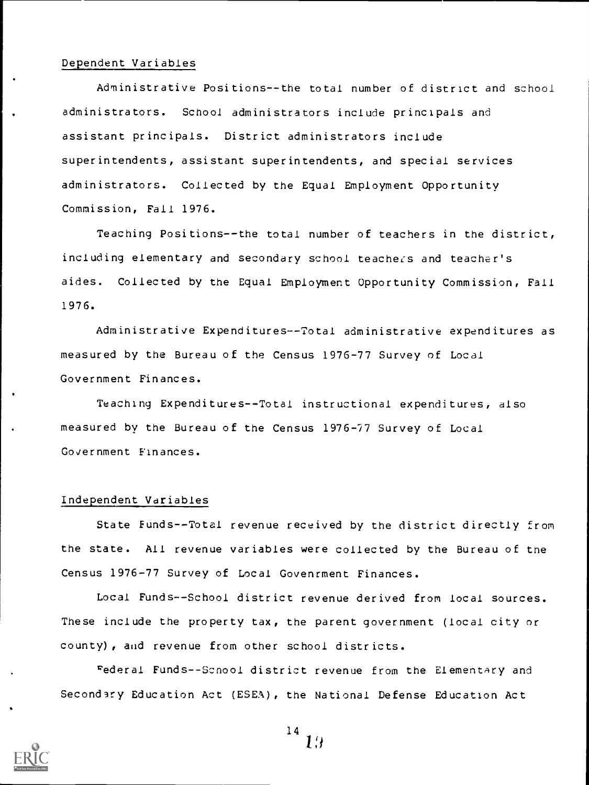#### Dependent Variables

Administrative Positions--the total number of district and school administrators. School administrators include principals and assistant principals. District administrators include superintendents, assistant superintendents, and special services administrators. Collected by the Equal Employment Opportunity Commission, Fall 1976.

Teaching Positions--the total number of teachers in the district, including elementary and secondary school teachers and teacher's aides. Collected by the Equal Employment Opportunity Commission, Fall 1976.

Administrative Expenditures--Total administrative expenditures as measured by the Bureau of the Census 1976-77 Survey of Local Government Finances.

Teaching Expenditures--Total instructional expenditures, also measured by the Bureau of the Census 1976-77 Survey of Local Government Finances.

#### Independent Variables

State Funds--Total revenue received by the district directly from the state. All revenue variables were collected by the Bureau of the Census 1976-77 Survey of Local Govenrment Finances.

Local Funds--School district revenue derived from local sources. These include the property tax, the parent government (local city or county), and revenue from other school districts.

Federal Funds--Scnool district revenue from the Elementary and Secondary Education Act (ESEA), the National Defense Education Act



$$
^{14}~19
$$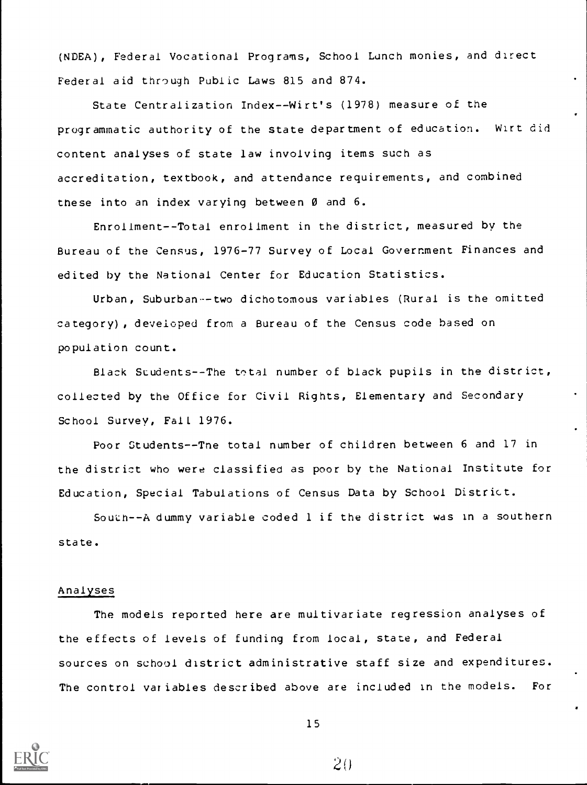(NDEA), Federal Vocational Programs, School Lunch monies, and direct Federal aid through Public Laws 815 and 874.

State Centralization Index--Wirt's (1978) measure of the programmatic authority of the state department of education. Wirt did content analyses of state law involving items such as accreditation, textbook, and attendance requirements, and combined these into an index varying between 0 and 6.

Enrollment--Total enrollment in the district, measured by the Bureau of the Census, 1976-77 Survey of Local Government Finances and edited by the National Center for Education Statistics.

Urban, Suburban-two dichotomous variables (Rural is the omitted category) , developed from a Bureau of the Census code based on population count.

Black Students- -The total number of black pupils in the district, collected by the Office for Civil Rights, Elementary and Secondary School Survey, Fall 1976.

Poor Students--Tne total number of children between 6 and 17 in the district who were classified as poor by the National Institute for Education, Special Tabulations of Census Data by School District.

South--A dummy variable coded 1 if the district was in a southern state.

### Analyses

The models reported here are multivariate regression analyses of the effects of levels of funding from local, state, and Federal sources on school district administrative staff size and expenditures. The control variables described above are included in the models. For



15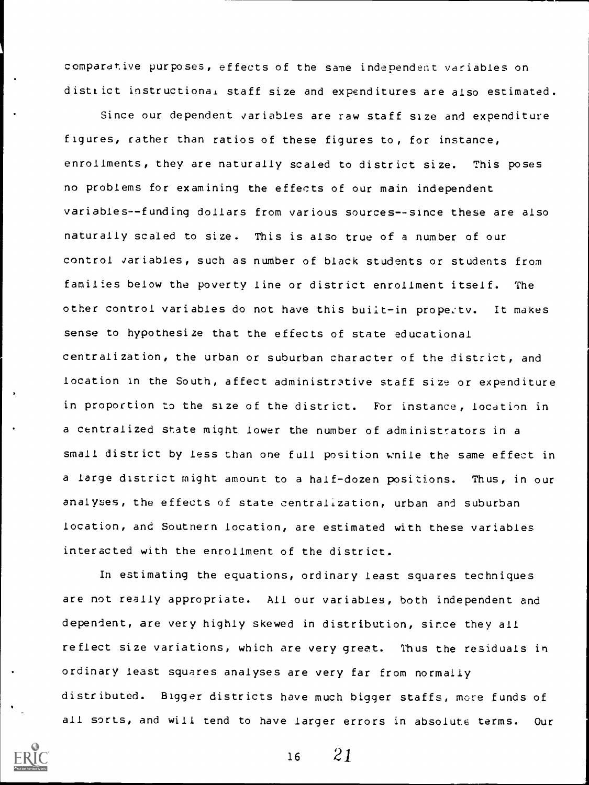comparative purposes, effects of the same independent variables on district instructional staff size and expenditures are also estimated.

Since our dependent variables are raw staff size and expenditure figures, rather than ratios of these figures to, for instance, enrollments, they are naturally scaled to district size. This poses no problems for examining the effects of our main independent variables--funding dollars from various sources--since these are also naturally scaled to size. This is also true of a number of our control variables, such as number of black students or students from families below the poverty line or district enrollment itself. The other control variables do not have this buiit-in prope:tv. It makes sense to hypothesize that the effects of state educational centralization, the urban or suburban character of the district, and location in the South, affect administrative staff size or expenditure in proportion to the size of the district. For instance, location in a centralized state might lower the number of administrators in a small district by less than one full position wnile the same effect in a large district might amount to a half-dozen positions. Thus, in our analyses, the effects of state centralization, urban and suburban location, and Soutnern location, are estimated with these variables interacted with the enrollment of the district.

In estimating the equations, ordinary least squares techniques are not really appropriate. All our variables, both independent and dependent, are very highly skewed in distribution, since they all reflect size variations, which are very great. Thus the residuals in ordinary least squares analyses are very far from normally distributed. Bigger districts have much bigger staffs, more funds of all sorts, and will tend to have larger errors in absolute terms. Our

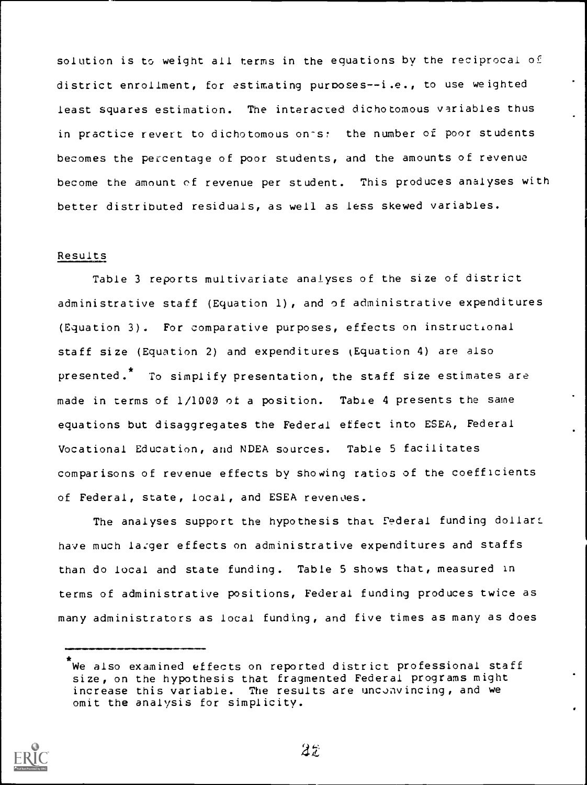solution is to weight all terms in the equations by the reciprocal of district enrollment, for estimating purposes--i.e., to use weighted least squares estimation. The interacted dichotomous variables thus in practice revert to dichotomous ones: the number of poor students becomes the percentage of poor students, and the amounts of revenue become the amount of revenue per student. This produces analyses with better distributed residuals, as well as less skewed variables.

#### Results

Table 3 reports multivariate analyses of the size of district administrative staff (Equation 1), and of administrative expenditures (Equation 3). For comparative purposes, effects on instructional staff size (Equation 2) and expenditures (Equation 4) are also presented.<sup>\*</sup> To simplify presentation, the staff size estimates are made in terms of 1/1000 of a position. Table 4 presents the same equations but disaggregates the Federal effect into ESEA, Federal Vocational Education, and NDEA sources. Table 5 facilitates comparisons of revenue effects by showing ratios of the coefficients of Federal, state, local, and ESEA revenues.

The analyses support the hypothesis that Federal funding dollars have much larger effects on administrative expenditures and staffs than do local and state funding. Table 5 shows that, measured in terms of administrative positions, Federal funding produces twice as many administrators as local funding, and five times as many as does

We also examined effects on reported district professional staff size, on the hypothesis that fragmented Federal programs might increase this variable. The results are unconvincing, and we omit the analysis for simplicity.



 $2\overline{z}$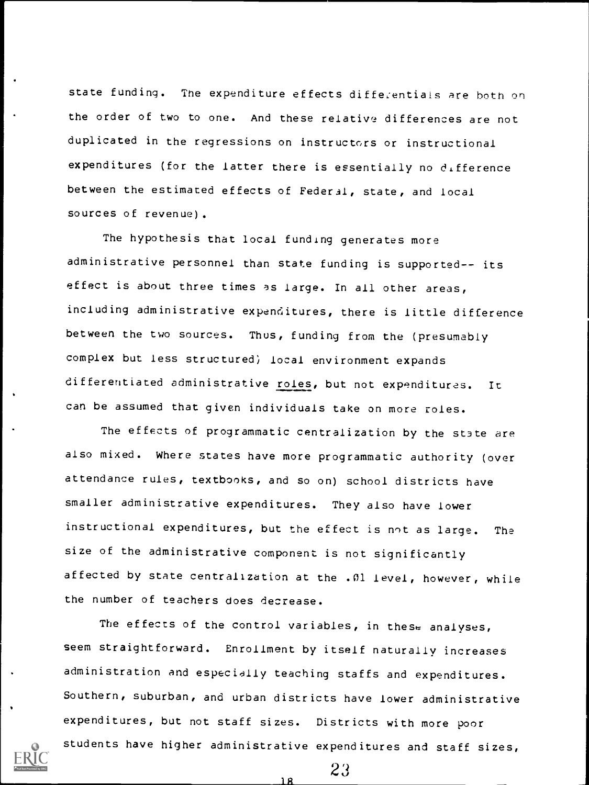state funding. The expenditure effects differentials are both on the order of two to one. And these relative differences are not duplicated in the regressions on instructors or instructional expenditures (for the latter there is essentially no difference between the estimated effects of Federal, state, and local sources of revenue) .

The hypothesis that local funding generates more administrative personnel than state funding is supported-- its effect is about three times as large. In all other areas, including administrative expenditures, there is little difference between the two sources. Thus, funding from the (presumably complex but less structured) local environment expands differentiated administrative roles, but not expenditures. It can be assumed that given individuals take on more roles.

The effects of programmatic centralization by the state are also mixed. Where states have more programmatic authority (over attendance rules, textbooks, and so on) school districts have smaller administrative expenditures. They also have lower instructional expenditures, but the effect is not as large. The size of the administrative component is not significantly affected by state centralization at the .01 level, however, while the number of teachers does decrease.

The effects of the control variables, in these analyses, seem straightforward. Enrollment by itself naturally increases administration and especially teaching staffs and expenditures. Southern, suburban, and urban districts have lower administrative expenditures, but not staff sizes. Districts with more poor students have higher administrative expenditures and staff sizes,

1R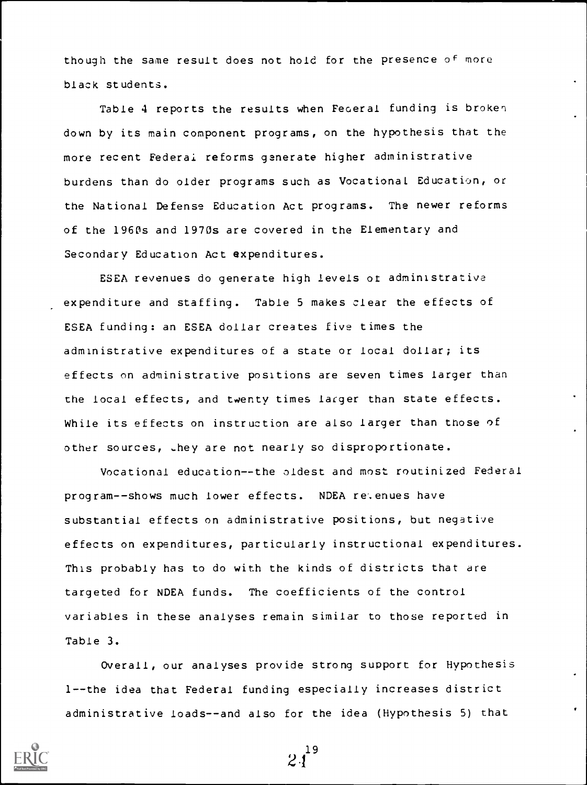though the same result does not hold for the presence of more black students.

Table 4 reports the results when Feoeral funding is broken down by its main component programs, on the hypothesis that the more recent Federai reforms generate higher administrative burdens than do older programs such as Vocational Education, or the National Defense Education Act programs. The newer reforms of the 1960s and 1970s are covered in the Elementary and Secondary Education Act expenditures.

ESEA revenues do generate high levels of administrative expenditure and staffing. Table 5 makes clear the effects of ESEA funding: an ESEA dollar creates five times the administrative expenditures of a state or local dollar; its effects on administrative positions are seven times larger than the local effects, and twenty times larger than state effects. While its effects on instruction are also larger than those of other sources, .hey are not nearly so disproportionate.

Vocational education--the oldest and most routinized Federal program--shows much lower effects. NDEA revenues have substantial effects on administrative positions, but negative effects on expenditures, particularly instructional expenditures. This probably has to do with the kinds of districts that are targeted for NDEA funds. The coefficients of the control variables in these analyses remain similar to those reported in Table 3.

Overall, our analyses provide strong support for Hypothesis 1--the idea that Federal funding especially increases district administrative loads--and also for the idea (Hypothesis 5) that



 $2\sqrt{1^9}$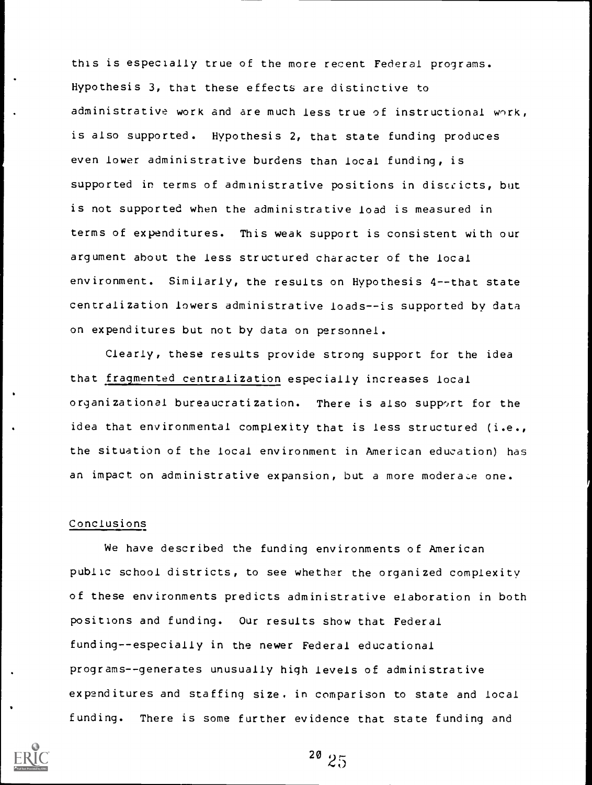this is especially true of the more recent Federal programs. Hypothesis 3, that these effects are distinctive to administrative work and are much less true of instructional work, is also supported. Hypothesis 2, that state funding produces even lower administrative burdens than local funding, is supported in terms of administrative positions in disccicts, but is not supported when the administrative load is measured in terms of expenditures. This weak support is consistent with our argument about the less structured character of the local environment. Similarly, the results on Hypothesis 4--that state centralization lowers administrative loads--is supported by data on expenditures but not by data on personnel.

Clearly, these results provide strong support for the idea that fragmented centralization especially increases local organizational bureaucratization. There is also support for the idea that environmental complexity that is less structured (i.e., the situation of the local environment in American education) has an impact on administrative expansion, but a more moderate one.

#### Conclusions

We have described the funding environments of American public school districts, to see whether the organized complexity of these environments predicts administrative elaboration in both positions and funding. Our results show that Federal funding--especially in the newer Federal educational programs--generates unusually high levels of administrative expenditures and staffing size, in comparison to state and local funding. There is some further evidence that state funding and

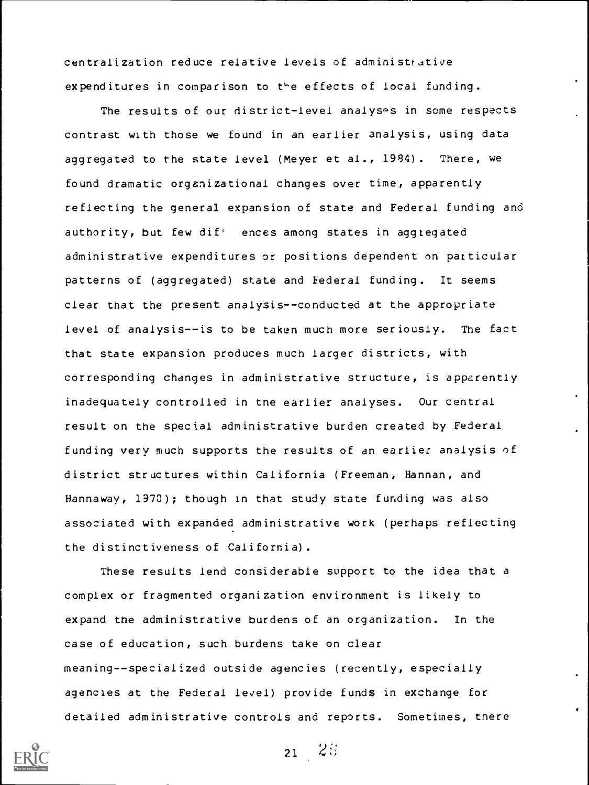centralization reduce relative levels of administrative expenditures in comparison to the effects of local funding.

The results of our district-level analyses in some respects contrast with those we found in an earlier analysis, using data aggregated to the state level (Meyer et al., 1984). There, we found dramatic organizational changes over time, apparently reflecting the general expansion of state and Federal funding and authority, but few dif' ences among states in aggregated administrative expenditures or positions dependent on particular patterns of (aggregated) state and Federal funding. It seems clear that the present analysis--conducted at the appropriate level of analysis--is to be taken much more seriously. The fact that state expansion produces much larger districts, with corresponding changes in administrative structure, is apparently inadequately controlled in tne earlier analyses. Our central result on the special administrative burden created by Federal funding very much supports the results of an earlier analysis of district structures within California (Freeman, Hannan, and Hannaway, 1970) ; though in that study state funding was also associated with expanded administrative work (perhaps reflecting the distinctiveness of California) .

These results lend considerable support to the idea that a complex or fragmented organization environment is likely to expand the administrative burdens of an organization. In the case of education, such burdens take on clear meaning--specialized outside agencies (recently, especially agencies at the Federal level) provide funds in exchange for detailed administrative controls and reports. Sometimes, tnere



 $21 - 25$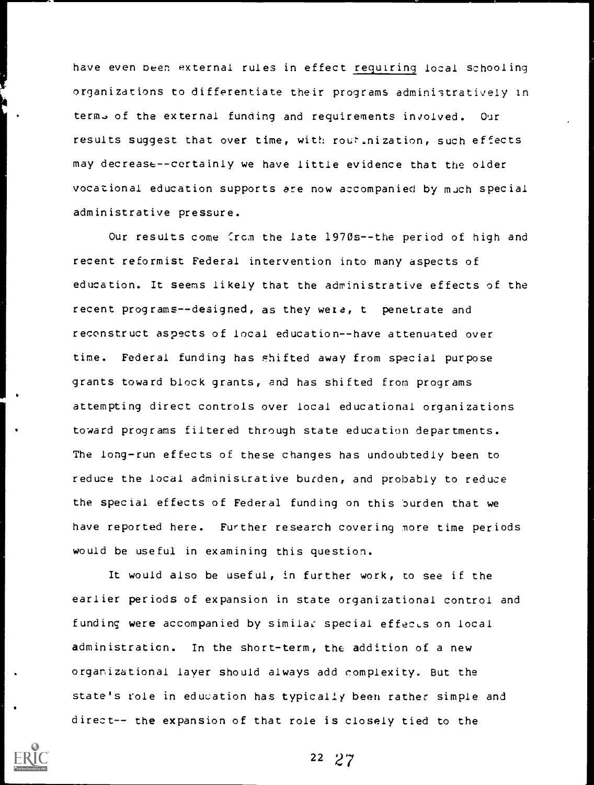have even been external rules in effect requiring local schooling organizations to differentiate their programs administratively in term., of the external funding and requirements involved. Our results suggest that over time, with routinization, such effects may decrease -- certainly we have little evidence that the older vocational education supports are now accompanied by much special administrative pressure.

Our results come from the late 1970s--the period of high and recent reformist Federal intervention into many aspects of education. It seems likely that the administrative effects of the recent programs--designed, as they well, t penetrate and reconstruct aspects of local education--have attenuated over time. Federal funding has shifted away from special purpose grants toward block grants, and has shifted from programs attempting direct controls over local educational organizations toward programs filtered through state education departments. The long-run effects of these changes has undoubtedly been to reduce the local administrative burden, and probably to reduce the special effects of Federal funding on this burden that we have reported here. Further research covering more time periods would be useful in examining this question.

It would also be useful, in further work, to see if the earlier periods of expansion in state organizational control and funding were accompanied by similar special effects on local administration. In the short-term, the addition of a new organizational layer should always add complexity. But the state's role in education has typically been rather simple and direct-- the expansion of that role is closely tied to the

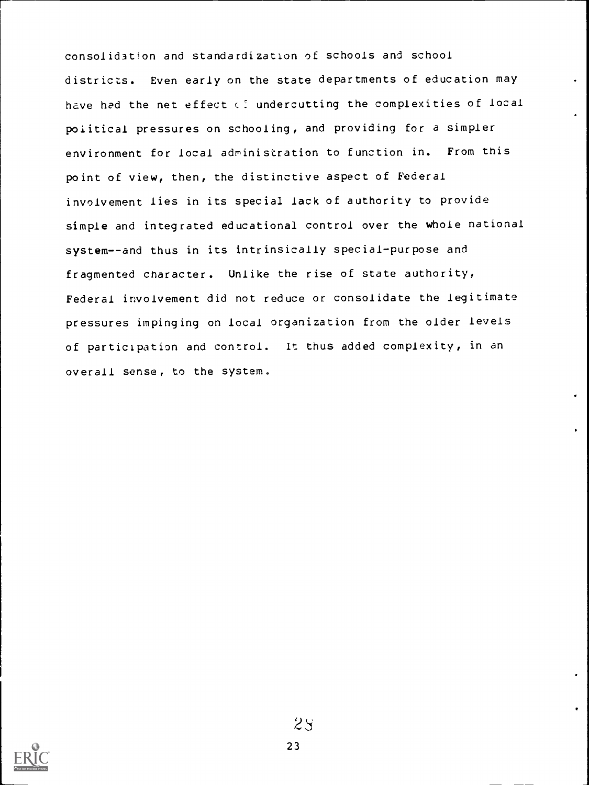consolidation and standardization of schools and school districts. Even early on the state departments of education may have had the net effect of undercutting the complexities of local political pressures on schooling, and providing for a simpler environment for local administration to function in. From this point of view, then, the distinctive aspect of Federal involvement lies in its special lack of authority to provide simple and integrated educational control over the whole national system--and thus in its intrinsically special-purpose and fragmented character. Unlike the rise of state authority, Federal involvement did not reduce or consolidate the legitimate pressures impinging on local organization from the older levels of participation and control. It thus added complexity, in an overall sense, to the system.

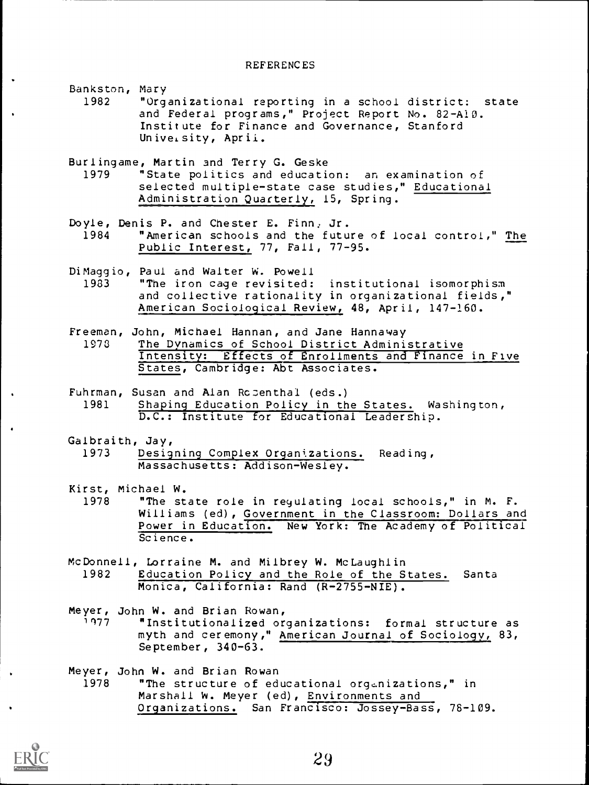Bankston, Mary

1982 "Organizational reporting in a school district: state and Federal programs," Project Report No. 82-A10. Institute for Finance and Governance, Stanford University, Aprii.

Burlingame, Martin and Terry G. Geske<br>1979 **"State politics and education** "State politics and education: an examination of selected multiple-state case studies," Educational Administration Quarterly, 15, Spring.

- Doyle, Denis P. and Chester E. Finn, Jr.<br>1984 **"American schools and the futu** "American schools and the future of local control," The Public Interest, 77, Fall, 77-95.
- DiMaggio, Paul and Walter W. Powell 1933 "The iron cage revisited: institutional isomorphism and collective rationality in organizational fields," American Sociological Review, 48, April, 147-160.
- Freeman, John, Michael Hannan, and Jane Hannaway 1973 The Dynamics of School District Administrative Intensity: Effects of Enrollments and Finance in Five States, Cambridge: Abt Associates.
- Fuhrman, Susan and Alan Rozenthal (eds.) 1981 Shaping Education Policy in the States. Washington, D.C.: Institute for Educational Leadership.
- Galbraith, Jay,
	- 1973 Designing Complex Organizations. Massachusetts: Addison-Wesley. Reading,

Kirst, Michael W.

- 1978 "The state role in regulating local schools," in M. F. Williams (ed), Government in the Classroom: Dollars and Power in Education. New York: The Academy of Political Science.
- McDonnell, Lorraine M. and Milbrey W. McLaughlin<br>1982 Education Policy and the Role of the S Education Policy and the Role of the States. Santa Monica, California: Rand (R-2755-NIE).

Meyer, John W. and Brian Rowan,<br>1977 **"Institutionalized or** 

- "Institutionalized organizations: formal structure as myth and ceremony," American Journal of Sociology, 83, September, 340-63.
- Meyer, John W. and Brian Rowan 1978 "The structure of educational organizations," in Marshall W. Meyer (ed), Environments and Organizations. San Francisco: Jossey-Bass, 78-109.

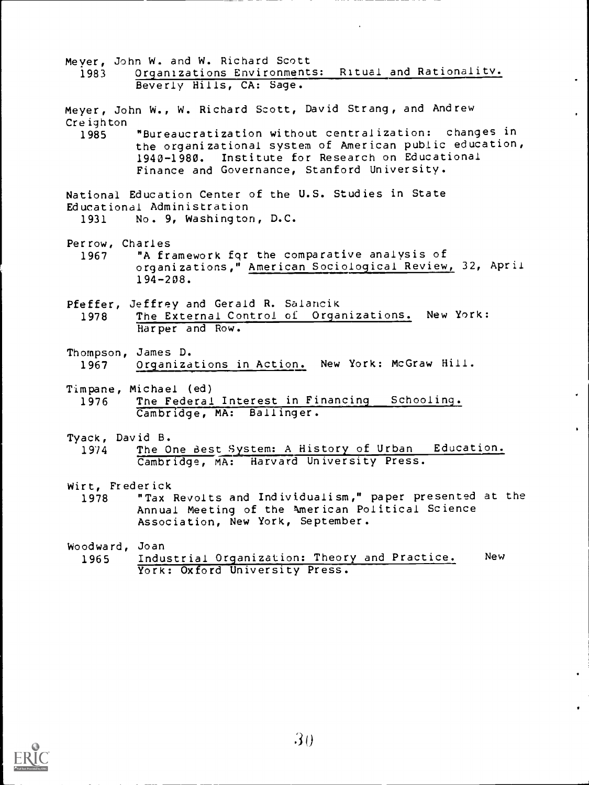Meyer, John W. and W. Richard Scott 1983 Organizations Environments: Ritual and Rationality. Beverly Hills, CA: Sage. Meyer, John W., W. Richard Scott, David Strang, and Andrew Creighton<br>1985 1985 "Bureaucratization without centralization: changes in the organizational system of American public education, 1940-1980. Institute for Research on Educational Finance and Governance, Stanford University. National Education Center of the U.S. Studies in State Educational Administration<br>1931 No. 9, Washington No. 9, Washington, D.C. Perrow, Charles 1967 "A framework fqr the comparative analysis of organizations," American Sociological Review, 32, April 194-208. Pfeffer, Jeffrey and Gerald R. Salancik 1978 The External Control of Organizations. New York: Harper and Row. Thompson, James D. 1967 Organizations in Action. New York: McGraw Hill. Timpane, Michael (ed)<br>1976 The Federal The Federal Interest in Financing Cambridge, MA: Ballinger. Schooling. Tyack, David B.<br>1974 The O The One Best System: A History of Urban Education. Cambridge, MA: Harvard University Press. Wirt, Frederick<br>1978 **"Tax** "Tax Revolts and Individualism," paper presented at the Annual Meeting of the Nmerican Political Science Association, New York, September. Woodward, Joan 1965 Industrial Organization: Theory and Practice. New York: Oxford University Press.

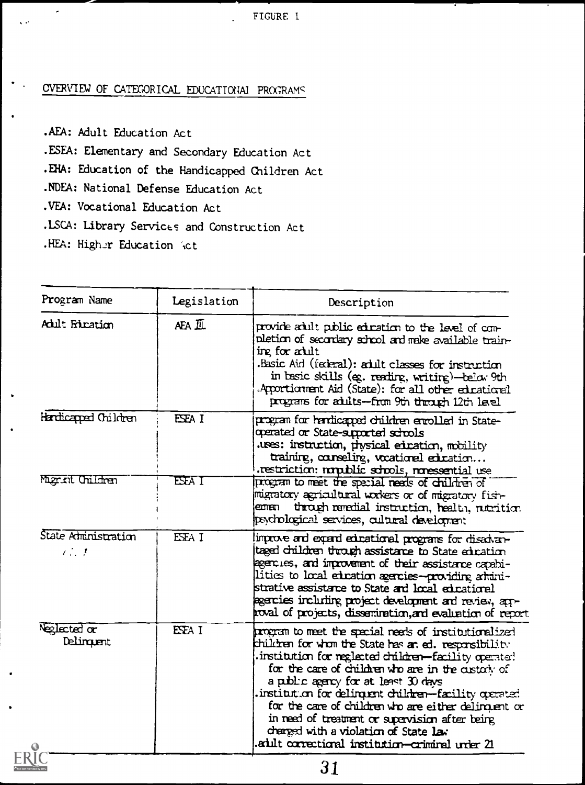FIGURE 1

# OVERVIEW OF CATEGORICAL EDUCATIONAL PROGRAMS

.AEA: Adult Education Act

 $\bullet$ 

 $\ddot{\phantom{0}}$ 

- .ESEA: Elementary and Secondary Education Act
- .EHA: Education of the Handicapped Children Act
- .NDEA: National Defense Education Act
- .VEA: Vocational Education Act
- .LSCA: Library Services and Construction Act
- .HEA: Higher Education Act

| Program Name                                  | Legislation           | Description                                                                                                                                                                                                                                                                                                                                                                                                                                                                                                                                 |
|-----------------------------------------------|-----------------------|---------------------------------------------------------------------------------------------------------------------------------------------------------------------------------------------------------------------------------------------------------------------------------------------------------------------------------------------------------------------------------------------------------------------------------------------------------------------------------------------------------------------------------------------|
| Adult Frination                               | $AEA$ $\overline{11}$ | provide adult public education to the level of con-<br>pletion of secondary school and make available train-<br>ing for atult<br>.Basic Aid (federal): adult classes for instruction<br>in basic skills (eg. reading, writing)—below 9th<br>Apportionment Aid (State): for all other educational<br>programs for adults-from 9th through 12th level                                                                                                                                                                                         |
| Herdicaped Children                           | ESEA I                | program for hardicaped children enrolled in State-<br>operated or State-supported schools<br>uses: instruction, physical education, mobility<br>training, correlling, vocational education<br>restriction: mapplic schools, nonessential use                                                                                                                                                                                                                                                                                                |
| Migriot Children                              | ESEA I                | program to meet the special needs of children of<br>migratory agricultural workers or of migratory fish-<br>through renedial instruction, health, nutrition<br>ണ്ട്രസ<br>psychological services, cultural development                                                                                                                                                                                                                                                                                                                       |
| State Aministration<br>$\ell \in \mathcal{I}$ | ESEA I                | improve and expand educational programs for disadvan-<br>taged children through assistance to State education<br>agencies, and improvement of their assistance capabi-<br>lities to local education agencies—providing athaini-<br>strative assistance to State and local educational<br>agencies including project development and review, app-<br>toval of projects, dissemination, and evaluation of report                                                                                                                              |
| Neglected or<br>Delinquent                    | ESEA I                | program to meet the special needs of institutionalized<br>children for whom the State has ar. ed. responsibility<br>institution for neglected children-facility operate?<br>for the care of children who are in the custorly of<br>a public agency for at least $30$ days<br>institution for delinquent children—facility operated<br>for the care of children who are either delinguent or<br>in need of treatment or supervision after being<br>charged with a violation of State law<br>atilt correctional institution-criminal unter 21 |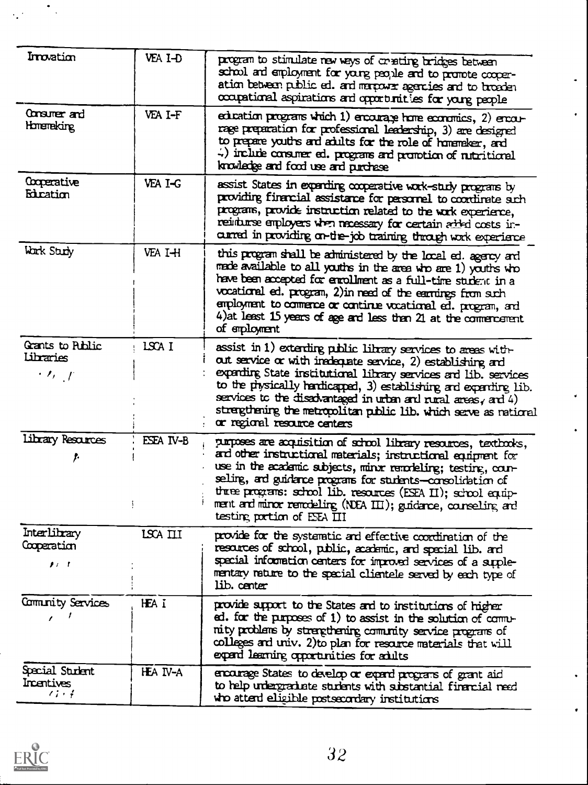| Irrovation                                           | VEA I-D   | program to stimulate new ways of constring bridges between<br>school and employment for young people and to promote cooper-<br>ation between public ed. and marpower agencies and to broaden<br>compational aspirations and opportunities for young people                                                                                                                                                                                 |
|------------------------------------------------------|-----------|--------------------------------------------------------------------------------------------------------------------------------------------------------------------------------------------------------------------------------------------------------------------------------------------------------------------------------------------------------------------------------------------------------------------------------------------|
| Consumer and<br>Homenaking                           | VEA I-F   | education programs which 1) encourage home economics, 2) encou-<br>rage preparation for professional leadership, 3) are designed<br>to prepare youths and adults for the role of homemeter, and<br>$\Rightarrow$ include consumer ed. programs and promotion of nutritional<br>knowledge and food use and purchase                                                                                                                         |
| Cooperative<br>Eduation                              | VEA I-G   | assist States in expanding cooperative work-study programs by<br>providing financial assistance for personnel to coordinate such<br>programs, provide instruction related to the work experience,<br>relidurse employers when necessary for certain added costs in-<br>arred in providing an-the-job training through work experience                                                                                                      |
| Wark Study                                           | VEA I-H   | this program shall be administered by the local ed. agency and<br>made available to all youths in the area who are 1) youths who<br>have been accepted for enrollment as a full-time student in a<br>vocational ed. program, 2) in need of the earnings from such<br>enployment to commerce or continue vocational ed. program, and<br>4) at least 15 years of age and less than 21 at the commencement<br>of enployment                   |
| Grants to Public<br>Libraries<br>$\cdot$ 1 $\cdot$ 1 | LSCA I    | assist in 1) extending public library services to areas with-<br>out service or with inadequate service, 2) establishing and<br>exparing State institutional library services and lib. services<br>to the physically hardicaped, 3) establishing and expanding lib.<br>services to the disadvantaged in urban and nural areas, and 4)<br>stragthening the metropolitan public lib. which serve as national<br>or regional resource centers |
| Library Resources<br>ŗ.                              | ESEA IV-B | purposes are acquisition of school library resources, textbooks,<br>and other instructional materials; instructional equipment for<br>use in the academic subjects, minor renodeling; testing, coun-<br>seling, and guidance programs for students-consolidation of<br>three programs: school lib. resources (ESEA II); school equip-<br>ment and minor remodeling (NEA III); guidance, counseling and<br>testing portion of ESEA III      |
| Interlibrary<br>Cooperation<br>$\mathbf{r}$          | LSCA III  | provide for the systematic and effective coordination of the<br>resources of school, public, academic, and special lib. and<br>special information centers for improved services of a suple-<br>mentary nature to the special clientele served by each type of<br>lib. center                                                                                                                                                              |
| Community Services<br>Ź.                             | HEA I     | provide support to the States and to institutions of higher<br>ed. for the purposes of 1) to assist in the solution of comu-<br>nity problems by strengthening community service programs of<br>colleges and univ. 2) to plan for resource materials that will<br>expand learning opportunities for adults                                                                                                                                 |
| <b>Special Student</b><br>Incentives<br>i : f        | HEA IV-A  | encarage States to develop or expert programs of grant aid<br>to help unleggarante students with substantial financial need<br>who attend eligible motsecondary institutions.                                                                                                                                                                                                                                                              |



 $\ddot{\phantom{a}}$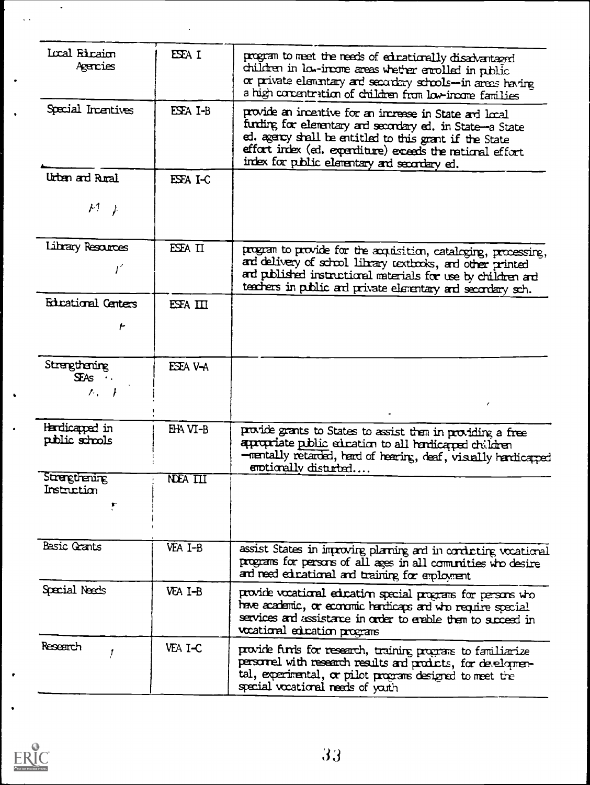| Local Fitraion<br>Agencies                         | ESEA I        | program to meet the needs of educationally disadvantaged<br>children in low-income areas whether enrolled in public<br>or private elementary and secondary schools-in areas having<br>a high concentration of children from low-income families                                                |
|----------------------------------------------------|---------------|------------------------------------------------------------------------------------------------------------------------------------------------------------------------------------------------------------------------------------------------------------------------------------------------|
| Special Incentives                                 | ESEA I-B      | provide an incentive for an increase in State and local<br>funding for elementary and secondary ed. in State-a State<br>ed. agency shall be entitled to this grant if the State<br>effort intex (ed. expertiture) exceeds the national effort<br>intex for public elementary and secondary ed. |
| Urban and Rural                                    | ESEA I-C      |                                                                                                                                                                                                                                                                                                |
| $k^j - j$                                          |               |                                                                                                                                                                                                                                                                                                |
| Library Resources                                  | ESEA II       | program to provide for the acquisition, cataloging, processing,<br>and delivery of school library textbooks, and other printed<br>and published instructional materials for use by children and<br>teachers in public and private elementary and secondary sch.                                |
| <b>Educational Centers</b>                         | ESEA III      |                                                                                                                                                                                                                                                                                                |
| r                                                  |               |                                                                                                                                                                                                                                                                                                |
| Strengthening<br>$SEAs$ .<br>$\lambda$ , $\lambda$ | ESEA V-A      | $\pmb{r}$                                                                                                                                                                                                                                                                                      |
|                                                    |               |                                                                                                                                                                                                                                                                                                |
| Herdicaped in<br>public schools                    | EHA VI-B      | provide grants to States to assist them in providing a free<br>appropriate public education to all hardicaped children<br>-mentally retarded, hard of hearing, deaf, visually hardicaped<br>enotionally disturbed                                                                              |
| Strengthening<br>Instruction                       | <b>NDEATH</b> |                                                                                                                                                                                                                                                                                                |
| Besic Grants                                       | VEA I-B       | assist States in improving planning and in conducting vocational<br>programs for persons of all ages in all communities who desire<br>and need educational and training for employment                                                                                                         |
| <b>Special Needs</b>                               | VEA I-B       | provide vocational education special programs for persons who<br>have academic, or economic hardicaps and who require special<br>services and assistance in order to enable them to succeed in<br>vocational education programs                                                                |
| Research                                           | VEA I-C       | provide furts for research, training programs to familiarize<br>personnel with research results and products, for developmen-<br>tal, experimental, $\alpha$ pilot programs designed to meet the<br>special vocational needs of youth                                                          |



 $\ddot{\phantom{0}}$ 

 $\ddot{\phantom{0}}$ 

 $\ddot{\phantom{0}}$ 

 $\ddot{\cdot}$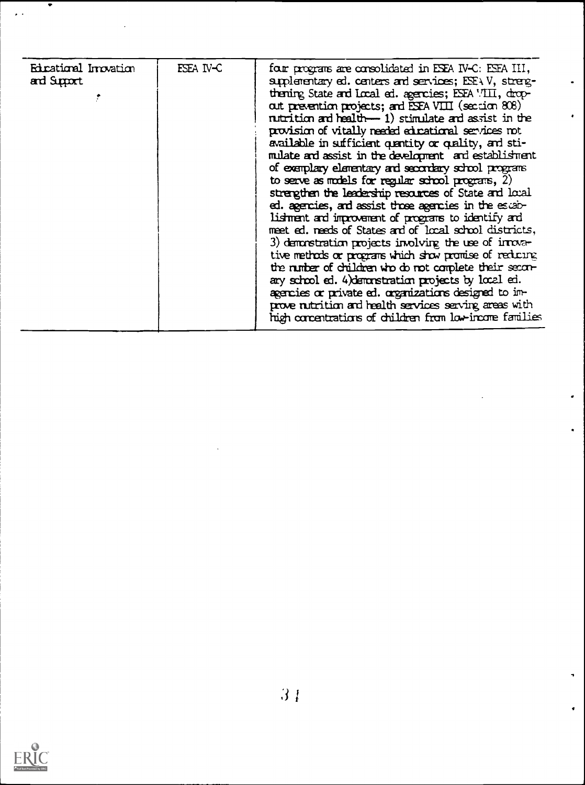| Educational Irrovation<br>and Support | ESEA IV-C | four programs are consolidated in ESEA IV-C: ESEA III,<br>suplementary ed. centers and services; ESEAV, streng-<br>thening State and Local ed. agencies; ESEA VIII, drop-<br>out prevention projects; and ESEA VIII (section 808)<br>$n$ trition and health $-1$ ) stimulate and assist in the<br>provision of vitally needed educational services not<br>available in sufficient quantity $\alpha$ quality, and sti-<br>mulate and assist in the development and establishment<br>of examplary elementary and secondary school programs<br>to serve as models for regular school programs, $2$ )<br>strengthen the leadership resources of State and local<br>ed. agencies, and assist those agencies in the escab-<br>lishment and improvement of programs to identify and<br>meet ed. needs of States and of local school districts,<br>3) demonstration projects involving the use of irrowa-<br>tive methods or programs which show promise of reducing<br>the number of children who do not complete their secon-<br>ary school ed. 4) demonstration projects by local ed.<br>agencies or private ed. organizations designed to im-<br>prove nutrition and health services serving areas with<br>high concentrations of children from low-income families |
|---------------------------------------|-----------|-----------------------------------------------------------------------------------------------------------------------------------------------------------------------------------------------------------------------------------------------------------------------------------------------------------------------------------------------------------------------------------------------------------------------------------------------------------------------------------------------------------------------------------------------------------------------------------------------------------------------------------------------------------------------------------------------------------------------------------------------------------------------------------------------------------------------------------------------------------------------------------------------------------------------------------------------------------------------------------------------------------------------------------------------------------------------------------------------------------------------------------------------------------------------------------------------------------------------------------------------------------------|
|---------------------------------------|-----------|-----------------------------------------------------------------------------------------------------------------------------------------------------------------------------------------------------------------------------------------------------------------------------------------------------------------------------------------------------------------------------------------------------------------------------------------------------------------------------------------------------------------------------------------------------------------------------------------------------------------------------------------------------------------------------------------------------------------------------------------------------------------------------------------------------------------------------------------------------------------------------------------------------------------------------------------------------------------------------------------------------------------------------------------------------------------------------------------------------------------------------------------------------------------------------------------------------------------------------------------------------------------|



 $\cdot$  .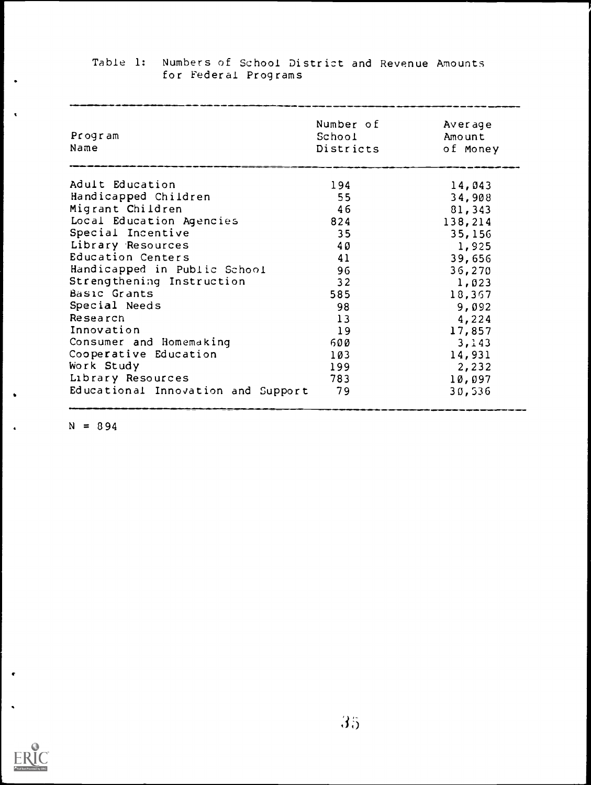| Program<br>Name                    | Number of<br>School<br>Districts | Average<br>Amount<br>of Money |
|------------------------------------|----------------------------------|-------------------------------|
| Adult Education                    | 194                              | 14,043                        |
| Handicapped Children               | 55                               | 34,908                        |
| Migrant Children                   | 46                               | 81,343                        |
| Local Education Agencies           | 824                              | 138,214                       |
| Special Incentive                  | 35                               | 35,156                        |
| Library Resources                  | 40                               | 1,925                         |
| Education Centers                  | 41                               | 39,656                        |
| Handicapped in Public School       | 96                               | 36,270                        |
| Strengthening Instruction          | 32                               | 1,023                         |
| Basic Grants                       | 585                              | 18,367                        |
| Special Needs                      | 98                               | 9,092                         |
| Research                           | 13                               | 4,224                         |
| Innovation                         | 19                               | 17,857                        |
| Consumer and Homemaking            | 600                              | 3,143                         |
| Cooperative Education              | 103                              | 14,931                        |
| Work Study                         | 199                              | 2,232                         |
| Library Resources                  | 783                              | 10,097                        |
| Educational Innovation and Support | 79                               | 30,536                        |

## Table 1: Numbers of School District and Revenue Amounts for Federal Programs

 $\frac{1}{2}$ 

.  $N = 894$ 

 $\bullet$ 



 $\bullet$ 

 $\hat{\phantom{a}}$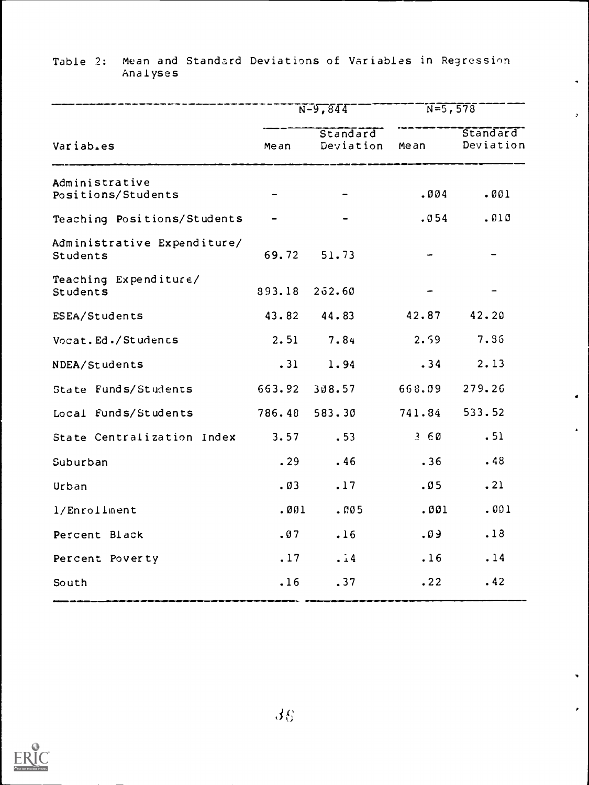|                                         |               | $N-9,844$             | $N = 5,578$ |                       |  |  |
|-----------------------------------------|---------------|-----------------------|-------------|-----------------------|--|--|
| Variabies                               | Mean          | Standard<br>Deviation | Mean        | Standard<br>Deviation |  |  |
| Administrative<br>Positions/Students    |               |                       | .004        | .001                  |  |  |
| Teaching Positions/Students             |               |                       | .054        | .010                  |  |  |
| Administrative Expenditure/<br>Students | 69.72         | 51.73                 |             |                       |  |  |
| Teaching Expenditure/<br>Students       | 393.18        | 252.60                |             |                       |  |  |
| ESEA/Students                           | 43.82         | 44.83                 | 42.87       | 42.20                 |  |  |
| Vocat. Ed./Students                     | 2.51          | 7.84                  | 2.59        | 7.36                  |  |  |
| NDEA/Students                           | .31           | 1.94                  | .34         | 2.13                  |  |  |
| State Funds/Students                    | 653.92 308.57 |                       | 668.09      | 279.26                |  |  |
| Local funds/Students                    | 786.48 583.30 |                       | 741.84      | 533.52                |  |  |
| State Centralization Index              | 3.57          | $.53 -$               | 360         | .51                   |  |  |
| Suburban                                | .29           | .46                   | .36         | .48                   |  |  |
| Urban                                   | .03           | .17                   | .05         | .21                   |  |  |
| 1/Enrollment                            | .001          | .005                  | .001        | .001                  |  |  |
| Percent Black                           | .07           | .16                   | .09         | .18                   |  |  |
| Percent Poverty                         | .17           | .14                   | .16         | .14                   |  |  |
| South                                   | .16           | .37                   | .22         | .42                   |  |  |

## Table 2: Mean and Standard Deviations of Variables in Regression Analyses

 $\bullet$ 

 $\bar{\bullet}$ 

 $\epsilon$ 

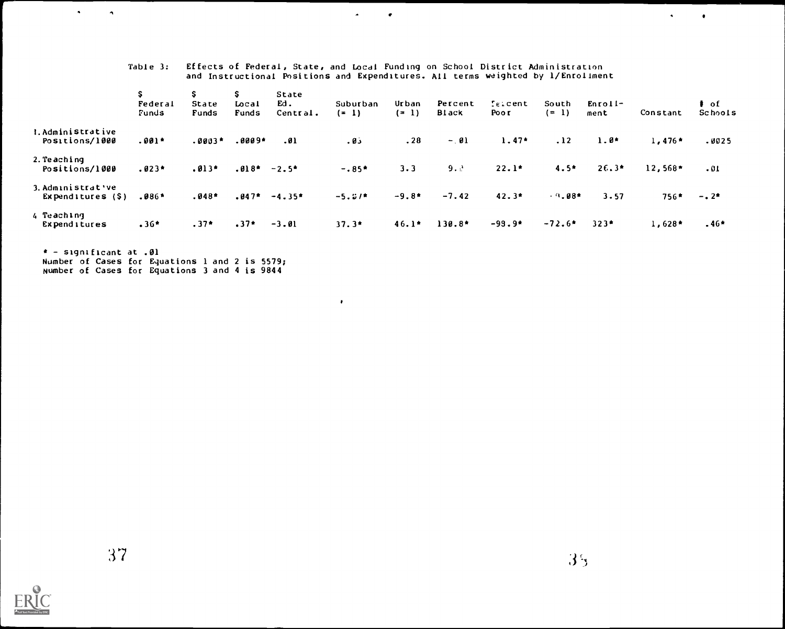|                                          | Federal<br>Funds | s.<br>State<br>Funds | S.<br>Local<br>Funds | State<br>Ed.<br>Central. | Suburban<br>$( = 1)$ | Ur ban<br>$(= 1)$ | Percent<br><b>Black</b> | $I$ elcent<br>Poo r | South<br>$(= 1)$ | $Enroll-$<br>ment | Constant  | ∦ of<br>Schools |
|------------------------------------------|------------------|----------------------|----------------------|--------------------------|----------------------|-------------------|-------------------------|---------------------|------------------|-------------------|-----------|-----------------|
| I. Administrative<br>Positions/1000      | $.001*$          | $.0003*$             | $.0009*$             | .01                      | ذ0.                  | .28               | $-. 01$                 | $1.47*$             | .12              | $1.0*$            | $1,476*$  | -0025           |
| 2. Teaching<br>Positions/1000            | $.023*$          | $.013*$              | $.018* -2.5*$        |                          | $-0.85*$             | 3.3               | 9.3                     | $22.1*$             | $4.5*$           | $26.3*$           | $12,568*$ | .01             |
| 3. Administrat've<br>Expenditures $(\$)$ | $.086*$          | $.048*$              |                      | $.047* -4.35*$           | $-5.31*$             | $-9.8*$           | $-7.42$                 | $42.3*$             | $-9.08*$         | 3.57              | $756*$    | $-$ . 2*        |
| 4 Teaching<br>Expenditures               | $.36*$           | $.37*$               | $.37*$               | $-3.01$                  | $37.3*$              | $46.1*$           | $130.8*$                | $-99.9*$            | $-72.6*$         | $323*$            | $1,628*$  | $.46*$          |

 $\bullet$ 

Effects of Federal, State, and Local Funding on School District Administration<br>and Instructional Positions and Expenditures. All terms weighted by 1/Enrollment

 $\sigma$  and  $\sigma$ 

\* - significant at .01<br>Number of Cases for Equations 1 and 2 is 5579;<br>Number of Cases for Equations 3 and 4 is 9844

Table 3:

 $\bullet$   $\bullet$   $\bullet$ 

 $\bullet$  .

 $\mathcal{L}^{\text{max}}$ 

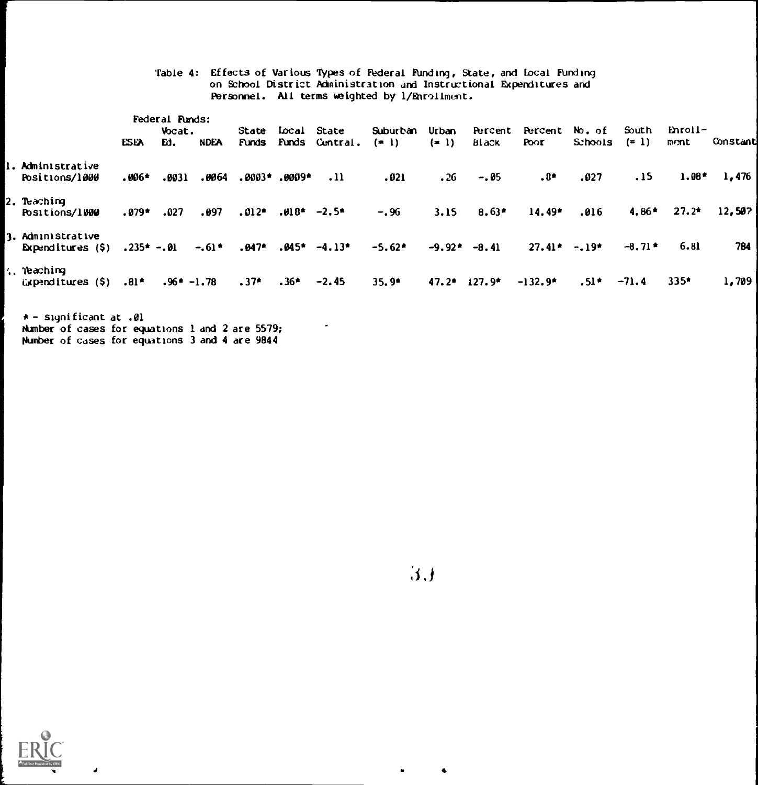|                                                     |             |                |                                   |                            |                   |                                      | Table 4: Effects of Various Types of Federal Funding, State, and Local Funding<br>on School District Administration and Instructional Expenditures and<br>Personnel. All terms weighted by 1/Enrollment. |                  |                   |                                   |                           |                  |                 |          |
|-----------------------------------------------------|-------------|----------------|-----------------------------------|----------------------------|-------------------|--------------------------------------|----------------------------------------------------------------------------------------------------------------------------------------------------------------------------------------------------------|------------------|-------------------|-----------------------------------|---------------------------|------------------|-----------------|----------|
|                                                     |             | Federal Funds: |                                   |                            |                   |                                      |                                                                                                                                                                                                          |                  |                   |                                   |                           |                  |                 |          |
|                                                     | <b>ESEA</b> | Vocat.<br>ы.   | NDEA                              |                            | State Local State | Funds Funds Central.                 | Suburban<br>$(= 1)$                                                                                                                                                                                      | Urban<br>$(= 1)$ | Percent<br>Black  | Poor                              | Percent No. of<br>Schools | South<br>$(= 1)$ | Enroll-<br>ment | Constant |
| . Administrative<br>Positions/1000                  | .006*       |                | $.0031$ $.0064$ $.0003*$ $.0009*$ |                            |                   | .11                                  | .021                                                                                                                                                                                                     | .26              | $-.05$            | $.8*$                             | .027                      | .15              | $1.08*$         | 1,476    |
| l. Te <i>a</i> chinq<br>Positions/1000              | $.079*$     | .027           | .097                              | $.012$ * $.018$ * $-2.5$ * |                   |                                      | $-.96$                                                                                                                                                                                                   | 3.15             | $8.63*$           | $14.49*$                          | .016                      | $4.86*$          | $27.2*$         | 12,50?   |
| 1. Administrative<br>Expenditures $(S)$ . 235* -.01 |             |                |                                   |                            |                   | $-.61$ * $.047$ * $.045$ * $-4.13$ * | $-5.62*$                                                                                                                                                                                                 |                  | $-9.92$ * $-8.41$ | $27.41$ $\bullet$ $-19$ $\bullet$ |                           | $-8.71$ $\star$  | 6.81            | 784      |
| . neaching<br>Expenditures $(5)$ .81*               |             |                | $.96* -1.78$                      | $.37^*$ $.36^*$ -2.45      |                   |                                      | $35.9*$                                                                                                                                                                                                  |                  | $47.2*127.9*$     | $-132.9*$                         | $.51$ $^{\circ}$          | $-71.4$          | $335*$          | 1,709    |
| a ar an an Cinnain an an an                         |             |                |                                   |                            |                   |                                      |                                                                                                                                                                                                          |                  |                   |                                   |                           |                  |                 |          |

\* - significant at .01 Number of cases for equations 1 and 2 are 5579;<br>Number of cases for equations 3 and 4 are 9844

 $3J$ 

 $\blacksquare$ 

 $\bullet$ 



 $\mathbf{z}$